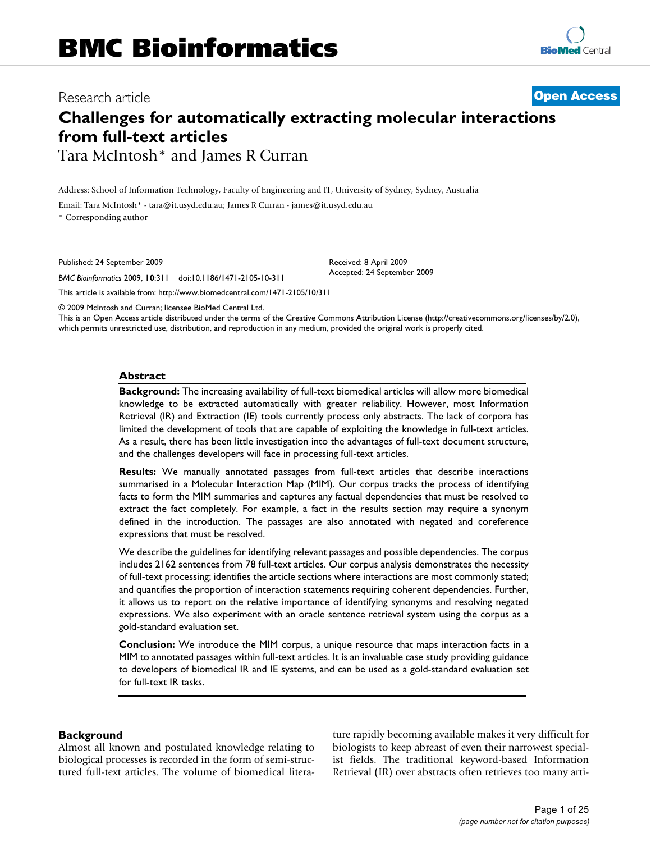# Research article **[Open Access](http://www.biomedcentral.com/info/about/charter/)**

# **Challenges for automatically extracting molecular interactions from full-text articles** Tara McIntosh\* and James R Curran

Address: School of Information Technology, Faculty of Engineering and IT, University of Sydney, Sydney, Australia

Email: Tara McIntosh\* - tara@it.usyd.edu.au; James R Curran - james@it.usyd.edu.au

\* Corresponding author

Published: 24 September 2009

*BMC Bioinformatics* 2009, **10**:311 doi:10.1186/1471-2105-10-311

[This article is available from: http://www.biomedcentral.com/1471-2105/10/311](http://www.biomedcentral.com/1471-2105/10/311)

© 2009 McIntosh and Curran; licensee BioMed Central Ltd.

This is an Open Access article distributed under the terms of the Creative Commons Attribution License [\(http://creativecommons.org/licenses/by/2.0\)](http://creativecommons.org/licenses/by/2.0), which permits unrestricted use, distribution, and reproduction in any medium, provided the original work is properly cited.

Received: 8 April 2009 Accepted: 24 September 2009

#### **Abstract**

**Background:** The increasing availability of full-text biomedical articles will allow more biomedical knowledge to be extracted automatically with greater reliability. However, most Information Retrieval (IR) and Extraction (IE) tools currently process only abstracts. The lack of corpora has limited the development of tools that are capable of exploiting the knowledge in full-text articles. As a result, there has been little investigation into the advantages of full-text document structure, and the challenges developers will face in processing full-text articles.

**Results:** We manually annotated passages from full-text articles that describe interactions summarised in a Molecular Interaction Map (MIM). Our corpus tracks the process of identifying facts to form the MIM summaries and captures any factual dependencies that must be resolved to extract the fact completely. For example, a fact in the results section may require a synonym defined in the introduction. The passages are also annotated with negated and coreference expressions that must be resolved.

We describe the guidelines for identifying relevant passages and possible dependencies. The corpus includes 2162 sentences from 78 full-text articles. Our corpus analysis demonstrates the necessity of full-text processing; identifies the article sections where interactions are most commonly stated; and quantifies the proportion of interaction statements requiring coherent dependencies. Further, it allows us to report on the relative importance of identifying synonyms and resolving negated expressions. We also experiment with an oracle sentence retrieval system using the corpus as a gold-standard evaluation set.

**Conclusion:** We introduce the MIM corpus, a unique resource that maps interaction facts in a MIM to annotated passages within full-text articles. It is an invaluable case study providing guidance to developers of biomedical IR and IE systems, and can be used as a gold-standard evaluation set for full-text IR tasks.

# **Background**

Almost all known and postulated knowledge relating to biological processes is recorded in the form of semi-structured full-text articles. The volume of biomedical literature rapidly becoming available makes it very difficult for biologists to keep abreast of even their narrowest specialist fields. The traditional keyword-based Information Retrieval (IR) over abstracts often retrieves too many arti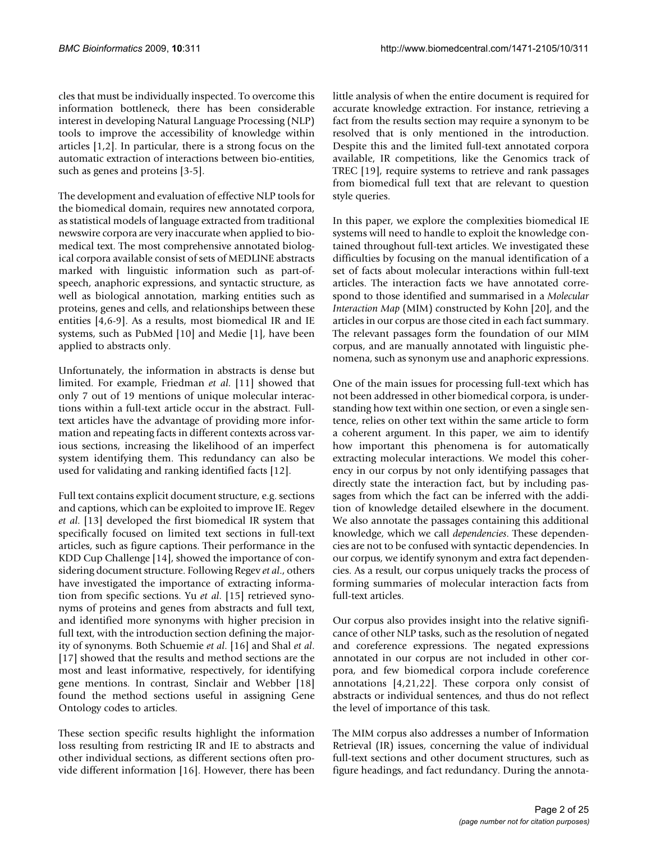cles that must be individually inspected. To overcome this information bottleneck, there has been considerable interest in developing Natural Language Processing (NLP) tools to improve the accessibility of knowledge within articles [1,2]. In particular, there is a strong focus on the automatic extraction of interactions between bio-entities, such as genes and proteins [3-5].

The development and evaluation of effective NLP tools for the biomedical domain, requires new annotated corpora, as statistical models of language extracted from traditional newswire corpora are very inaccurate when applied to biomedical text. The most comprehensive annotated biological corpora available consist of sets of MEDLINE abstracts marked with linguistic information such as part-ofspeech, anaphoric expressions, and syntactic structure, as well as biological annotation, marking entities such as proteins, genes and cells, and relationships between these entities [4,6-9]. As a results, most biomedical IR and IE systems, such as PubMed [10] and Medie [1], have been applied to abstracts only.

Unfortunately, the information in abstracts is dense but limited. For example, Friedman *et al*. [11] showed that only 7 out of 19 mentions of unique molecular interactions within a full-text article occur in the abstract. Fulltext articles have the advantage of providing more information and repeating facts in different contexts across various sections, increasing the likelihood of an imperfect system identifying them. This redundancy can also be used for validating and ranking identified facts [12].

Full text contains explicit document structure, e.g. sections and captions, which can be exploited to improve IE. Regev *et al*. [13] developed the first biomedical IR system that specifically focused on limited text sections in full-text articles, such as figure captions. Their performance in the KDD Cup Challenge [14], showed the importance of considering document structure. Following Regev *et al*., others have investigated the importance of extracting information from specific sections. Yu *et al*. [15] retrieved synonyms of proteins and genes from abstracts and full text, and identified more synonyms with higher precision in full text, with the introduction section defining the majority of synonyms. Both Schuemie *et al*. [16] and Shal *et al*. [17] showed that the results and method sections are the most and least informative, respectively, for identifying gene mentions. In contrast, Sinclair and Webber [18] found the method sections useful in assigning Gene Ontology codes to articles.

These section specific results highlight the information loss resulting from restricting IR and IE to abstracts and other individual sections, as different sections often provide different information [16]. However, there has been little analysis of when the entire document is required for accurate knowledge extraction. For instance, retrieving a fact from the results section may require a synonym to be resolved that is only mentioned in the introduction. Despite this and the limited full-text annotated corpora available, IR competitions, like the Genomics track of TREC [19], require systems to retrieve and rank passages from biomedical full text that are relevant to question style queries.

In this paper, we explore the complexities biomedical IE systems will need to handle to exploit the knowledge contained throughout full-text articles. We investigated these difficulties by focusing on the manual identification of a set of facts about molecular interactions within full-text articles. The interaction facts we have annotated correspond to those identified and summarised in a *Molecular Interaction Map* (MIM) constructed by Kohn [20], and the articles in our corpus are those cited in each fact summary. The relevant passages form the foundation of our MIM corpus, and are manually annotated with linguistic phenomena, such as synonym use and anaphoric expressions.

One of the main issues for processing full-text which has not been addressed in other biomedical corpora, is understanding how text within one section, or even a single sentence, relies on other text within the same article to form a coherent argument. In this paper, we aim to identify how important this phenomena is for automatically extracting molecular interactions. We model this coherency in our corpus by not only identifying passages that directly state the interaction fact, but by including passages from which the fact can be inferred with the addition of knowledge detailed elsewhere in the document. We also annotate the passages containing this additional knowledge, which we call *dependencies*. These dependencies are not to be confused with syntactic dependencies. In our corpus, we identify synonym and extra fact dependencies. As a result, our corpus uniquely tracks the process of forming summaries of molecular interaction facts from full-text articles.

Our corpus also provides insight into the relative significance of other NLP tasks, such as the resolution of negated and coreference expressions. The negated expressions annotated in our corpus are not included in other corpora, and few biomedical corpora include coreference annotations [4,21,22]. These corpora only consist of abstracts or individual sentences, and thus do not reflect the level of importance of this task.

The MIM corpus also addresses a number of Information Retrieval (IR) issues, concerning the value of individual full-text sections and other document structures, such as figure headings, and fact redundancy. During the annota-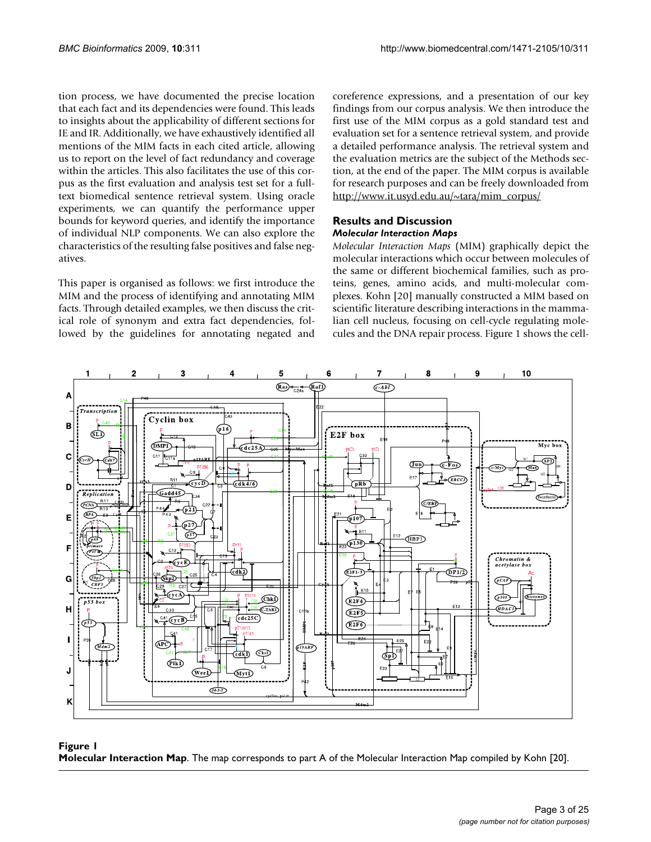tion process, we have documented the precise location that each fact and its dependencies were found. This leads to insights about the applicability of different sections for IE and IR. Additionally, we have exhaustively identified all mentions of the MIM facts in each cited article, allowing us to report on the level of fact redundancy and coverage within the articles. This also facilitates the use of this corpus as the first evaluation and analysis test set for a fulltext biomedical sentence retrieval system. Using oracle experiments, we can quantify the performance upper bounds for keyword queries, and identify the importance of individual NLP components. We can also explore the characteristics of the resulting false positives and false negatives.

This paper is organised as follows: we first introduce the MIM and the process of identifying and annotating MIM facts. Through detailed examples, we then discuss the critical role of synonym and extra fact dependencies, followed by the guidelines for annotating negated and coreference expressions, and a presentation of our key findings from our corpus analysis. We then introduce the first use of the MIM corpus as a gold standard test and evaluation set for a sentence retrieval system, and provide a detailed performance analysis. The retrieval system and the evaluation metrics are the subject of the Methods section, at the end of the paper. The MIM corpus is available for research purposes and can be freely downloaded from [http://www.it.usyd.edu.au/~tara/mim\\_corpus/](http://www.it.usyd.edu.au/~tara/mim_corpus/)

## **Results and Discussion** *Molecular Interaction Maps*

*Molecular Interaction Maps* (MIM) graphically depict the molecular interactions which occur between molecules of the same or different biochemical families, such as proteins, genes, amino acids, and multi-molecular complexes. Kohn [20] manually constructed a MIM based on scientific literature describing interactions in the mammalian cell nucleus, focusing on cell-cycle regulating molecules and the DNA repair process. Figure 1 shows the cell-



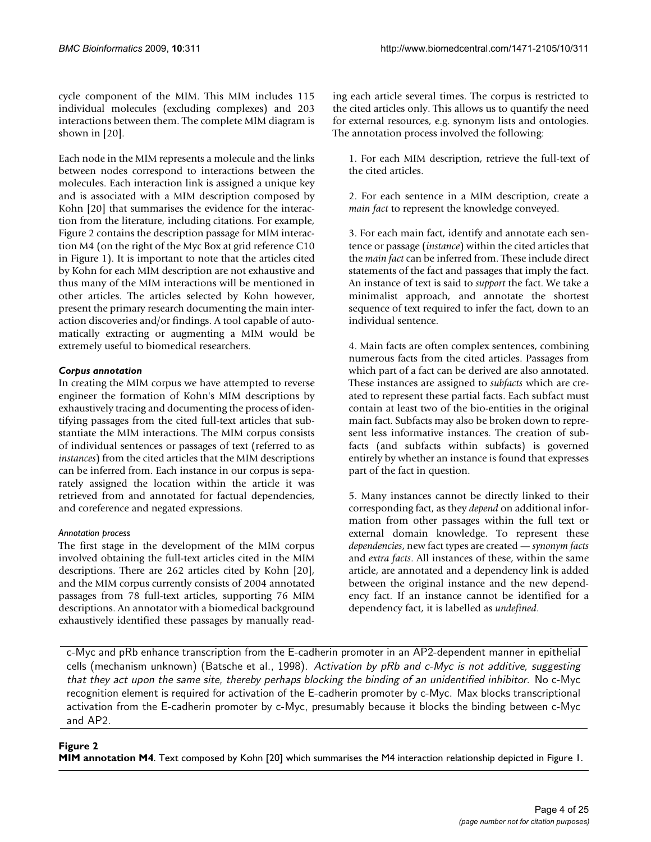cycle component of the MIM. This MIM includes 115 individual molecules (excluding complexes) and 203 interactions between them. The complete MIM diagram is shown in [20].

Each node in the MIM represents a molecule and the links between nodes correspond to interactions between the molecules. Each interaction link is assigned a unique key and is associated with a MIM description composed by Kohn [20] that summarises the evidence for the interaction from the literature, including citations. For example, Figure 2 contains the description passage for MIM interaction M4 (on the right of the Myc Box at grid reference C10 in Figure 1). It is important to note that the articles cited by Kohn for each MIM description are not exhaustive and thus many of the MIM interactions will be mentioned in other articles. The articles selected by Kohn however, present the primary research documenting the main interaction discoveries and/or findings. A tool capable of automatically extracting or augmenting a MIM would be extremely useful to biomedical researchers.

# *Corpus annotation*

In creating the MIM corpus we have attempted to reverse engineer the formation of Kohn's MIM descriptions by exhaustively tracing and documenting the process of identifying passages from the cited full-text articles that substantiate the MIM interactions. The MIM corpus consists of individual sentences or passages of text (referred to as *instances*) from the cited articles that the MIM descriptions can be inferred from. Each instance in our corpus is separately assigned the location within the article it was retrieved from and annotated for factual dependencies, and coreference and negated expressions.

# *Annotation process*

The first stage in the development of the MIM corpus involved obtaining the full-text articles cited in the MIM descriptions. There are 262 articles cited by Kohn [20], and the MIM corpus currently consists of 2004 annotated passages from 78 full-text articles, supporting 76 MIM descriptions. An annotator with a biomedical background exhaustively identified these passages by manually reading each article several times. The corpus is restricted to the cited articles only. This allows us to quantify the need for external resources, e.g. synonym lists and ontologies. The annotation process involved the following:

1. For each MIM description, retrieve the full-text of the cited articles.

2. For each sentence in a MIM description, create a *main fact* to represent the knowledge conveyed.

3. For each main fact, identify and annotate each sentence or passage (*instance*) within the cited articles that the *main fact* can be inferred from. These include direct statements of the fact and passages that imply the fact. An instance of text is said to *support* the fact. We take a minimalist approach, and annotate the shortest sequence of text required to infer the fact, down to an individual sentence.

4. Main facts are often complex sentences, combining numerous facts from the cited articles. Passages from which part of a fact can be derived are also annotated. These instances are assigned to *subfacts* which are created to represent these partial facts. Each subfact must contain at least two of the bio-entities in the original main fact. Subfacts may also be broken down to represent less informative instances. The creation of subfacts (and subfacts within subfacts) is governed entirely by whether an instance is found that expresses part of the fact in question.

5. Many instances cannot be directly linked to their corresponding fact, as they *depend* on additional information from other passages within the full text or external domain knowledge. To represent these *dependencies*, new fact types are created — *synonym facts* and *extra facts*. All instances of these, within the same article, are annotated and a dependency link is added between the original instance and the new dependency fact. If an instance cannot be identified for a dependency fact, it is labelled as *undefined*.

c-Myc and pRb enhance transcription from the E-cadherin promoter in an AP2-dependent manner in epithelial cells (mechanism unknown) (Batsche et al., 1998). Activation by pRb and c-Myc is not additive, suggesting that they act upon the same site, thereby perhaps blocking the binding of an unidentified inhibitor. No c-Myc recognition element is required for activation of the E-cadherin promoter by c-Myc. Max blocks transcriptional activation from the E-cadherin promoter by c-Myc, presumably because it blocks the binding between c-Myc and AP2.

# **Figure 2**

**MIM annotation M4**. Text composed by Kohn [20] which summarises the M4 interaction relationship depicted in Figure 1.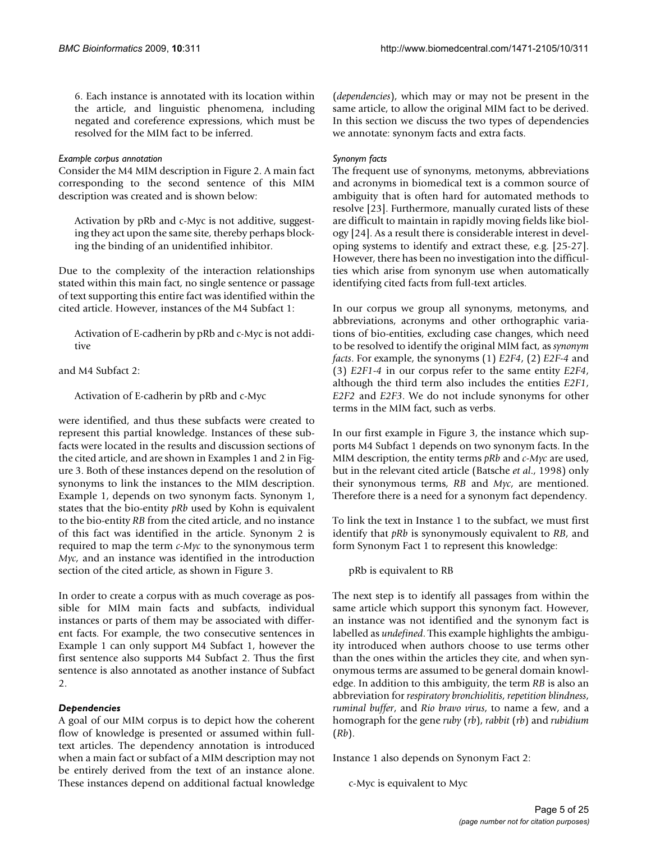6. Each instance is annotated with its location within the article, and linguistic phenomena, including negated and coreference expressions, which must be resolved for the MIM fact to be inferred.

#### *Example corpus annotation*

Consider the M4 MIM description in Figure 2. A main fact corresponding to the second sentence of this MIM description was created and is shown below:

Activation by pRb and c-Myc is not additive, suggesting they act upon the same site, thereby perhaps blocking the binding of an unidentified inhibitor.

Due to the complexity of the interaction relationships stated within this main fact, no single sentence or passage of text supporting this entire fact was identified within the cited article. However, instances of the M4 Subfact 1:

Activation of E-cadherin by pRb and c-Myc is not additive

and M4 Subfact 2:

Activation of E-cadherin by pRb and c-Myc

were identified, and thus these subfacts were created to represent this partial knowledge. Instances of these subfacts were located in the results and discussion sections of the cited article, and are shown in Examples 1 and 2 in Figure 3. Both of these instances depend on the resolution of synonyms to link the instances to the MIM description. Example 1, depends on two synonym facts. Synonym 1, states that the bio-entity *pRb* used by Kohn is equivalent to the bio-entity *RB* from the cited article, and no instance of this fact was identified in the article. Synonym 2 is required to map the term *c-Myc* to the synonymous term *Myc*, and an instance was identified in the introduction section of the cited article, as shown in Figure 3.

In order to create a corpus with as much coverage as possible for MIM main facts and subfacts, individual instances or parts of them may be associated with different facts. For example, the two consecutive sentences in Example 1 can only support M4 Subfact 1, however the first sentence also supports M4 Subfact 2. Thus the first sentence is also annotated as another instance of Subfact  $2.$ 

#### *Dependencies*

A goal of our MIM corpus is to depict how the coherent flow of knowledge is presented or assumed within fulltext articles. The dependency annotation is introduced when a main fact or subfact of a MIM description may not be entirely derived from the text of an instance alone. These instances depend on additional factual knowledge (*dependencies*), which may or may not be present in the same article, to allow the original MIM fact to be derived. In this section we discuss the two types of dependencies we annotate: synonym facts and extra facts.

# *Synonym facts*

The frequent use of synonyms, metonyms, abbreviations and acronyms in biomedical text is a common source of ambiguity that is often hard for automated methods to resolve [23]. Furthermore, manually curated lists of these are difficult to maintain in rapidly moving fields like biology [24]. As a result there is considerable interest in developing systems to identify and extract these, e.g. [25-27]. However, there has been no investigation into the difficulties which arise from synonym use when automatically identifying cited facts from full-text articles.

In our corpus we group all synonyms, metonyms, and abbreviations, acronyms and other orthographic variations of bio-entities, excluding case changes, which need to be resolved to identify the original MIM fact, as *synonym facts*. For example, the synonyms (1) *E2F4*, (2) *E2F-4* and (3) *E2F1-4* in our corpus refer to the same entity *E2F4*, although the third term also includes the entities *E2F1*, *E2F2* and *E2F3*. We do not include synonyms for other terms in the MIM fact, such as verbs.

In our first example in Figure 3, the instance which supports M4 Subfact 1 depends on two synonym facts. In the MIM description, the entity terms *pRb* and *c-Myc* are used, but in the relevant cited article (Batsche *et al*., 1998) only their synonymous terms, *RB* and *Myc*, are mentioned. Therefore there is a need for a synonym fact dependency.

To link the text in Instance 1 to the subfact, we must first identify that *pRb* is synonymously equivalent to *RB*, and form Synonym Fact 1 to represent this knowledge:

pRb is equivalent to RB

The next step is to identify all passages from within the same article which support this synonym fact. However, an instance was not identified and the synonym fact is labelled as *undefined*. This example highlights the ambiguity introduced when authors choose to use terms other than the ones within the articles they cite, and when synonymous terms are assumed to be general domain knowledge. In addition to this ambiguity, the term *RB* is also an abbreviation for *respiratory bronchiolitis*, *repetition blindness*, *ruminal buffer*, and *Rio bravo virus*, to name a few, and a homograph for the gene *ruby* (*rb*), *rabbit* (*rb*) and *rubidium* (*Rb*).

Instance 1 also depends on Synonym Fact 2:

c-Myc is equivalent to Myc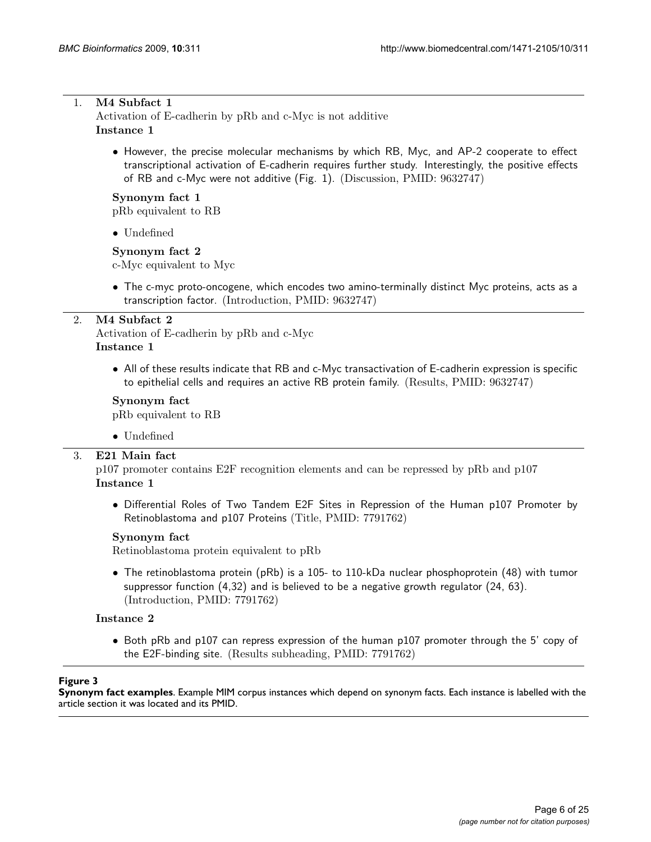# 1. **M4 Subfact 1**

Activation of E-cadherin by pRb and c-Myc is not additive **Instance 1**

• However, the precise molecular mechanisms by which RB, Myc, and AP-2 cooperate to effect transcriptional activation of E-cadherin requires further study. Interestingly, the positive effects of RB and c-Myc were not additive (Fig. 1). (Discussion, PMID: 9632747)

# **Synonym fact 1**

pRb equivalent to RB

• Undefined

# **Synonym fact 2**

c-Myc equivalent to Myc

• The c-myc proto-oncogene, which encodes two amino-terminally distinct Myc proteins, acts as a transcription factor. (Introduction, PMID: 9632747)

# 2. **M4 Subfact 2**

Activation of E-cadherin by pRb and c-Myc **Instance 1**

• All of these results indicate that RB and c-Myc transactivation of E-cadherin expression is specific to epithelial cells and requires an active RB protein family. (Results, PMID: 9632747)

# **Synonym fact**

pRb equivalent to RB

• Undefined

# 3. **E21 Main fact**

p107 promoter contains E2F recognition elements and can be repressed by pRb and p107 **Instance 1**

• Differential Roles of Two Tandem E2F Sites in Repression of the Human p107 Promoter by Retinoblastoma and p107 Proteins (Title, PMID: 7791762)

# **Synonym fact**

Retinoblastoma protein equivalent to pRb

• The retinoblastoma protein (pRb) is a 105- to 110-kDa nuclear phosphoprotein (48) with tumor suppressor function (4,32) and is believed to be a negative growth regulator (24, 63). (Introduction, PMID: 7791762)

# **Instance 2**

• Both pRb and p107 can repress expression of the human p107 promoter through the 5' copy of the E2F-binding site. (Results subheading, PMID: 7791762)

# **Figure 3**

**Synonym fact examples**. Example MIM corpus instances which depend on synonym facts. Each instance is labelled with the article section it was located and its PMID.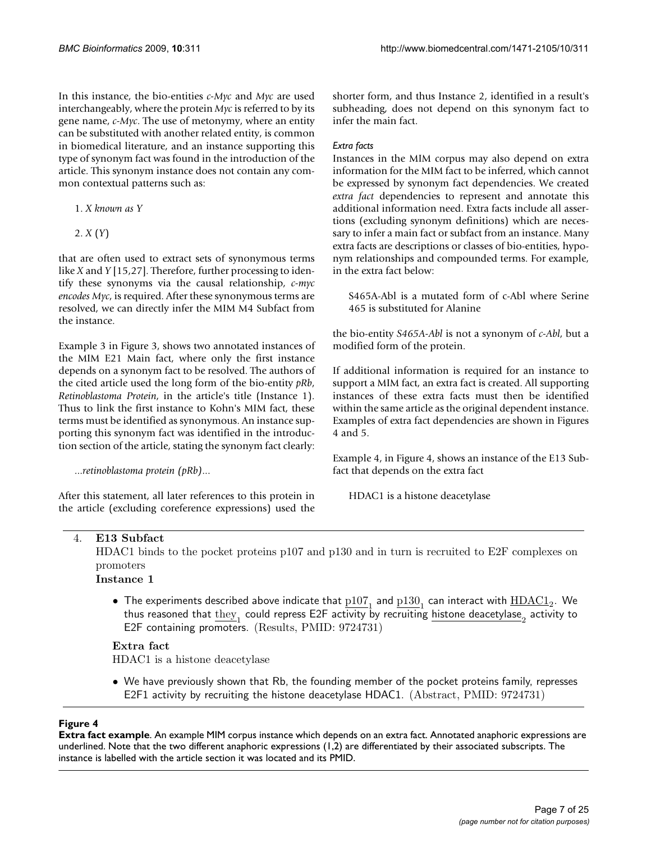In this instance, the bio-entities *c-Myc* and *Myc* are used interchangeably, where the protein *Myc* is referred to by its gene name, *c-Myc*. The use of metonymy, where an entity can be substituted with another related entity, is common in biomedical literature, and an instance supporting this type of synonym fact was found in the introduction of the article. This synonym instance does not contain any common contextual patterns such as:

- 1. *X known as Y*
- 2. *X* (*Y*)

that are often used to extract sets of synonymous terms like *X* and *Y* [15,27]. Therefore, further processing to identify these synonyms via the causal relationship, *c-myc encodes Myc*, is required. After these synonymous terms are resolved, we can directly infer the MIM M4 Subfact from the instance.

Example 3 in Figure 3, shows two annotated instances of the MIM E21 Main fact, where only the first instance depends on a synonym fact to be resolved. The authors of the cited article used the long form of the bio-entity *pRb*, *Retinoblastoma Protein*, in the article's title (Instance 1). Thus to link the first instance to Kohn's MIM fact, these terms must be identified as synonymous. An instance supporting this synonym fact was identified in the introduction section of the article, stating the synonym fact clearly:

...*retinoblastoma protein (pRb)*...

After this statement, all later references to this protein in the article (excluding coreference expressions) used the shorter form, and thus Instance 2, identified in a result's subheading, does not depend on this synonym fact to infer the main fact.

# *Extra facts*

Instances in the MIM corpus may also depend on extra information for the MIM fact to be inferred, which cannot be expressed by synonym fact dependencies. We created *extra fact* dependencies to represent and annotate this additional information need. Extra facts include all assertions (excluding synonym definitions) which are necessary to infer a main fact or subfact from an instance. Many extra facts are descriptions or classes of bio-entities, hyponym relationships and compounded terms. For example, in the extra fact below:

S465A-Abl is a mutated form of c-Abl where Serine 465 is substituted for Alanine

the bio-entity *S465A-Abl* is not a synonym of *c-Abl*, but a modified form of the protein.

If additional information is required for an instance to support a MIM fact, an extra fact is created. All supporting instances of these extra facts must then be identified within the same article as the original dependent instance. Examples of extra fact dependencies are shown in Figures 4 and 5.

Example 4, in Figure 4, shows an instance of the E13 Subfact that depends on the extra fact

HDAC1 is a histone deacetylase

#### 4. **E13 Subfact**

HDAC1 binds to the pocket proteins p107 and p130 and in turn is recruited to E2F complexes on promoters

#### **Instance 1**

• The experiments described above indicate that  $p107<sub>1</sub>$  and  $p130<sub>1</sub>$  can interact with  $\underline{\text{HDAC1}}_2$ . We thus reasoned that they<sub>1</sub> could repress E2F activity by recruiting histone deacetylase<sub>2</sub> activity to E2F containing promoters. (Results, PMID: 9724731)

# **Extra fact**

HDAC1 is a histone deacetylase

• We have previously shown that Rb, the founding member of the pocket proteins family, represses E2F1 activity by recruiting the histone deacetylase HDAC1. (Abstract, PMID: 9724731)

#### **Figure 4**

**Extra fact example**. An example MIM corpus instance which depends on an extra fact. Annotated anaphoric expressions are underlined. Note that the two different anaphoric expressions (1,2) are differentiated by their associated subscripts. The instance is labelled with the article section it was located and its PMID.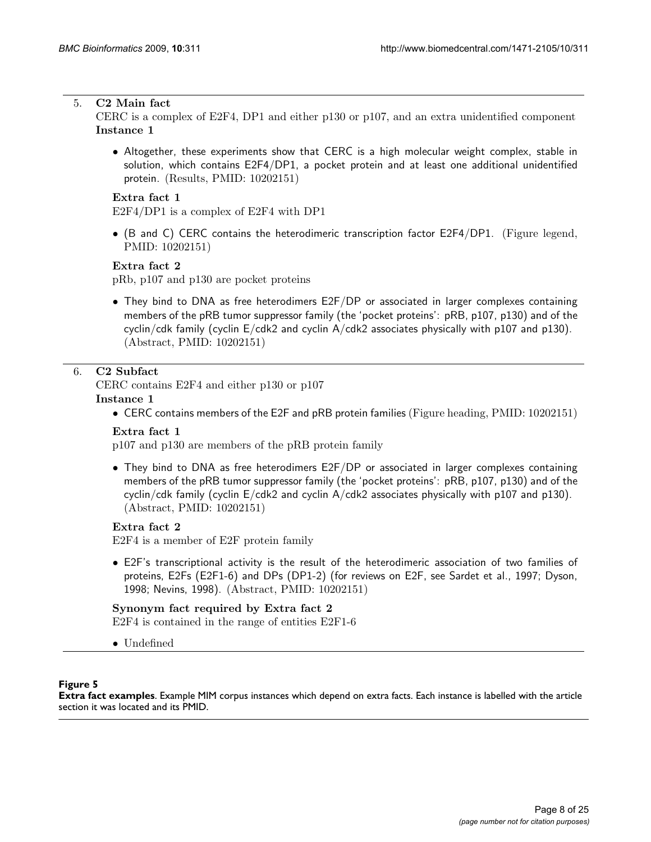# 5. **C2 Main fact**

CERC is a complex of E2F4, DP1 and either p130 or p107, and an extra unidentified component **Instance 1**

• Altogether, these experiments show that CERC is a high molecular weight complex, stable in solution, which contains E2F4/DP1, a pocket protein and at least one additional unidentified protein. (Results, PMID: 10202151)

# **Extra fact 1**

E2F4/DP1 is a complex of E2F4 with DP1

• (B and C) CERC contains the heterodimeric transcription factor E2F4/DP1. (Figure legend, PMID: 10202151)

# **Extra fact 2**

pRb, p107 and p130 are pocket proteins

• They bind to DNA as free heterodimers E2F/DP or associated in larger complexes containing members of the pRB tumor suppressor family (the 'pocket proteins': pRB, p107, p130) and of the cyclin/cdk family (cyclin E/cdk2 and cyclin A/cdk2 associates physically with p107 and p130). (Abstract, PMID: 10202151)

# 6. **C2 Subfact**

CERC contains E2F4 and either p130 or p107

# **Instance 1**

• CERC contains members of the E2F and pRB protein families (Figure heading, PMID: 10202151)

# **Extra fact 1**

p107 and p130 are members of the pRB protein family

• They bind to DNA as free heterodimers E2F/DP or associated in larger complexes containing members of the pRB tumor suppressor family (the 'pocket proteins': pRB, p107, p130) and of the cyclin/cdk family (cyclin E/cdk2 and cyclin A/cdk2 associates physically with p107 and p130). (Abstract, PMID: 10202151)

# **Extra fact 2**

E2F4 is a member of E2F protein family

• E2F's transcriptional activity is the result of the heterodimeric association of two families of proteins, E2Fs (E2F1-6) and DPs (DP1-2) (for reviews on E2F, see Sardet et al., 1997; Dyson, 1998; Nevins, 1998). (Abstract, PMID: 10202151)

# **Synonym fact required by Extra fact 2** E2F4 is contained in the range of entities E2F1-6

• Undefined

# **Figure 5**

**Extra fact examples**. Example MIM corpus instances which depend on extra facts. Each instance is labelled with the article section it was located and its PMID.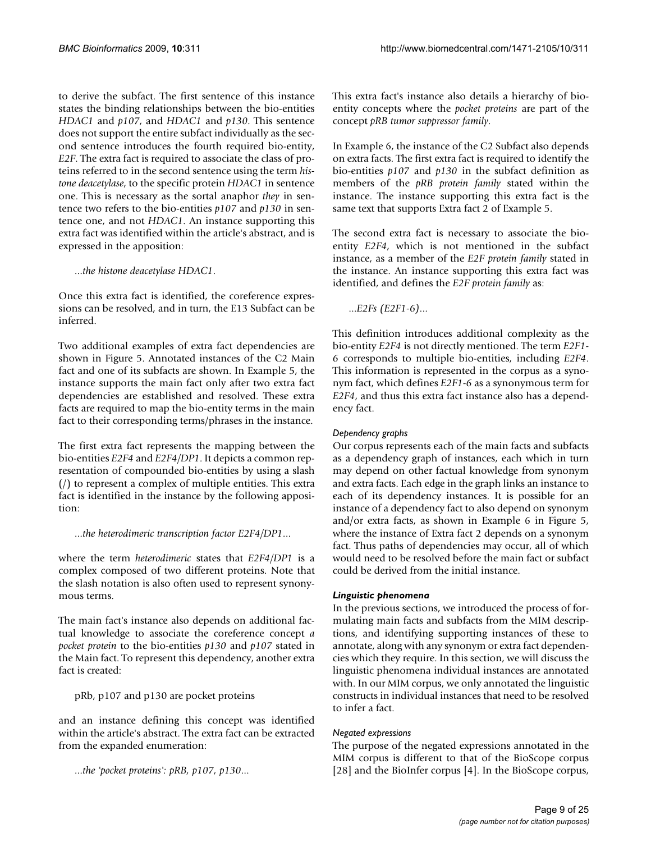to derive the subfact. The first sentence of this instance states the binding relationships between the bio-entities *HDAC1* and *p107*, and *HDAC1* and *p130*. This sentence does not support the entire subfact individually as the second sentence introduces the fourth required bio-entity, *E2F*. The extra fact is required to associate the class of proteins referred to in the second sentence using the term *histone deacetylase*, to the specific protein *HDAC1* in sentence one. This is necessary as the sortal anaphor *they* in sentence two refers to the bio-entities *p107* and *p130* in sentence one, and not *HDAC1*. An instance supporting this extra fact was identified within the article's abstract, and is expressed in the apposition:

...*the histone deacetylase HDAC1*.

Once this extra fact is identified, the coreference expressions can be resolved, and in turn, the E13 Subfact can be inferred.

Two additional examples of extra fact dependencies are shown in Figure 5. Annotated instances of the C2 Main fact and one of its subfacts are shown. In Example 5, the instance supports the main fact only after two extra fact dependencies are established and resolved. These extra facts are required to map the bio-entity terms in the main fact to their corresponding terms/phrases in the instance.

The first extra fact represents the mapping between the bio-entities *E2F4* and *E2F4/DP1*. It depicts a common representation of compounded bio-entities by using a slash (/) to represent a complex of multiple entities. This extra fact is identified in the instance by the following apposition:

...*the heterodimeric transcription factor E2F4/DP1*...

where the term *heterodimeric* states that *E2F4/DP1* is a complex composed of two different proteins. Note that the slash notation is also often used to represent synonymous terms.

The main fact's instance also depends on additional factual knowledge to associate the coreference concept *a pocket protein* to the bio-entities *p130* and *p107* stated in the Main fact. To represent this dependency, another extra fact is created:

pRb, p107 and p130 are pocket proteins

and an instance defining this concept was identified within the article's abstract. The extra fact can be extracted from the expanded enumeration:

...*the 'pocket proteins': pRB, p107, p130*...

This extra fact's instance also details a hierarchy of bioentity concepts where the *pocket proteins* are part of the concept *pRB tumor suppressor family*.

In Example 6, the instance of the C2 Subfact also depends on extra facts. The first extra fact is required to identify the bio-entities *p107* and *p130* in the subfact definition as members of the *pRB protein family* stated within the instance. The instance supporting this extra fact is the same text that supports Extra fact 2 of Example 5.

The second extra fact is necessary to associate the bioentity *E2F4*, which is not mentioned in the subfact instance, as a member of the *E2F protein family* stated in the instance. An instance supporting this extra fact was identified, and defines the *E2F protein family* as:

...*E2Fs (E2F1-6)*...

This definition introduces additional complexity as the bio-entity *E2F4* is not directly mentioned. The term *E2F1- 6* corresponds to multiple bio-entities, including *E2F4*. This information is represented in the corpus as a synonym fact, which defines *E2F1-6* as a synonymous term for *E2F4*, and thus this extra fact instance also has a dependency fact.

# *Dependency graphs*

Our corpus represents each of the main facts and subfacts as a dependency graph of instances, each which in turn may depend on other factual knowledge from synonym and extra facts. Each edge in the graph links an instance to each of its dependency instances. It is possible for an instance of a dependency fact to also depend on synonym and/or extra facts, as shown in Example 6 in Figure 5, where the instance of Extra fact 2 depends on a synonym fact. Thus paths of dependencies may occur, all of which would need to be resolved before the main fact or subfact could be derived from the initial instance.

# *Linguistic phenomena*

In the previous sections, we introduced the process of formulating main facts and subfacts from the MIM descriptions, and identifying supporting instances of these to annotate, along with any synonym or extra fact dependencies which they require. In this section, we will discuss the linguistic phenomena individual instances are annotated with. In our MIM corpus, we only annotated the linguistic constructs in individual instances that need to be resolved to infer a fact.

# *Negated expressions*

The purpose of the negated expressions annotated in the MIM corpus is different to that of the BioScope corpus [28] and the BioInfer corpus [4]. In the BioScope corpus,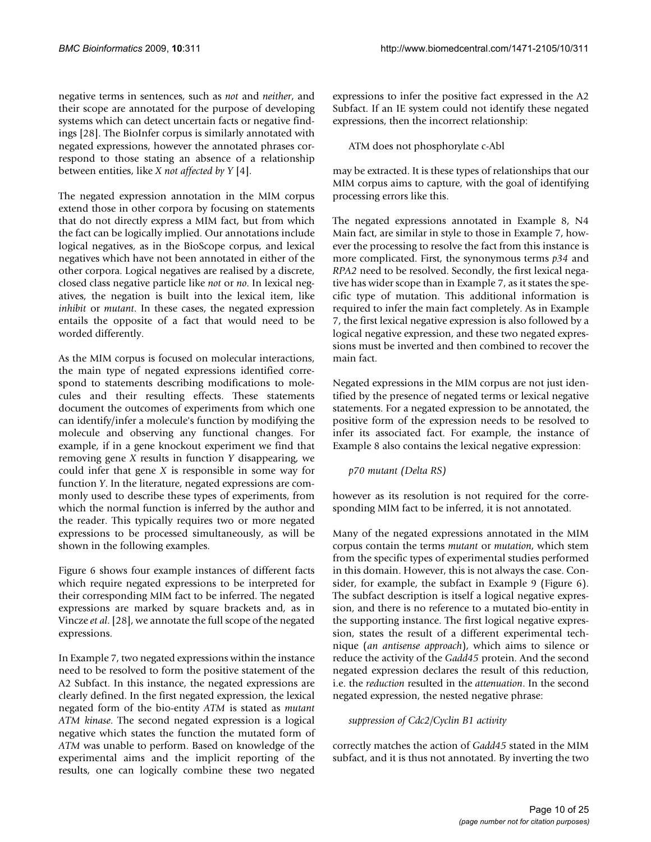negative terms in sentences, such as *not* and *neither*, and their scope are annotated for the purpose of developing systems which can detect uncertain facts or negative findings [28]. The BioInfer corpus is similarly annotated with negated expressions, however the annotated phrases correspond to those stating an absence of a relationship between entities, like *X not affected by Y* [4].

The negated expression annotation in the MIM corpus extend those in other corpora by focusing on statements that do not directly express a MIM fact, but from which the fact can be logically implied. Our annotations include logical negatives, as in the BioScope corpus, and lexical negatives which have not been annotated in either of the other corpora. Logical negatives are realised by a discrete, closed class negative particle like *not* or *no*. In lexical negatives, the negation is built into the lexical item, like *inhibit* or *mutant*. In these cases, the negated expression entails the opposite of a fact that would need to be worded differently.

As the MIM corpus is focused on molecular interactions, the main type of negated expressions identified correspond to statements describing modifications to molecules and their resulting effects. These statements document the outcomes of experiments from which one can identify/infer a molecule's function by modifying the molecule and observing any functional changes. For example, if in a gene knockout experiment we find that removing gene *X* results in function *Y* disappearing, we could infer that gene *X* is responsible in some way for function *Y*. In the literature, negated expressions are commonly used to describe these types of experiments, from which the normal function is inferred by the author and the reader. This typically requires two or more negated expressions to be processed simultaneously, as will be shown in the following examples.

Figure 6 shows four example instances of different facts which require negated expressions to be interpreted for their corresponding MIM fact to be inferred. The negated expressions are marked by square brackets and, as in Vincze *et al*. [28], we annotate the full scope of the negated expressions.

In Example 7, two negated expressions within the instance need to be resolved to form the positive statement of the A2 Subfact. In this instance, the negated expressions are clearly defined. In the first negated expression, the lexical negated form of the bio-entity *ATM* is stated as *mutant ATM kinase*. The second negated expression is a logical negative which states the function the mutated form of *ATM* was unable to perform. Based on knowledge of the experimental aims and the implicit reporting of the results, one can logically combine these two negated expressions to infer the positive fact expressed in the A2 Subfact. If an IE system could not identify these negated expressions, then the incorrect relationship:

ATM does not phosphorylate c-Abl

may be extracted. It is these types of relationships that our MIM corpus aims to capture, with the goal of identifying processing errors like this.

The negated expressions annotated in Example 8, N4 Main fact, are similar in style to those in Example 7, however the processing to resolve the fact from this instance is more complicated. First, the synonymous terms *p34* and *RPA2* need to be resolved. Secondly, the first lexical negative has wider scope than in Example 7, as it states the specific type of mutation. This additional information is required to infer the main fact completely. As in Example 7, the first lexical negative expression is also followed by a logical negative expression, and these two negated expressions must be inverted and then combined to recover the main fact.

Negated expressions in the MIM corpus are not just identified by the presence of negated terms or lexical negative statements. For a negated expression to be annotated, the positive form of the expression needs to be resolved to infer its associated fact. For example, the instance of Example 8 also contains the lexical negative expression:

*p70 mutant (Delta RS)*

however as its resolution is not required for the corresponding MIM fact to be inferred, it is not annotated.

Many of the negated expressions annotated in the MIM corpus contain the terms *mutant* or *mutation*, which stem from the specific types of experimental studies performed in this domain. However, this is not always the case. Consider, for example, the subfact in Example 9 (Figure 6). The subfact description is itself a logical negative expression, and there is no reference to a mutated bio-entity in the supporting instance. The first logical negative expression, states the result of a different experimental technique (*an antisense approach*), which aims to silence or reduce the activity of the *Gadd45* protein. And the second negated expression declares the result of this reduction, i.e. the *reduction* resulted in the *attenuation*. In the second negated expression, the nested negative phrase:

*suppression of Cdc2/Cyclin B1 activity*

correctly matches the action of *Gadd45* stated in the MIM subfact, and it is thus not annotated. By inverting the two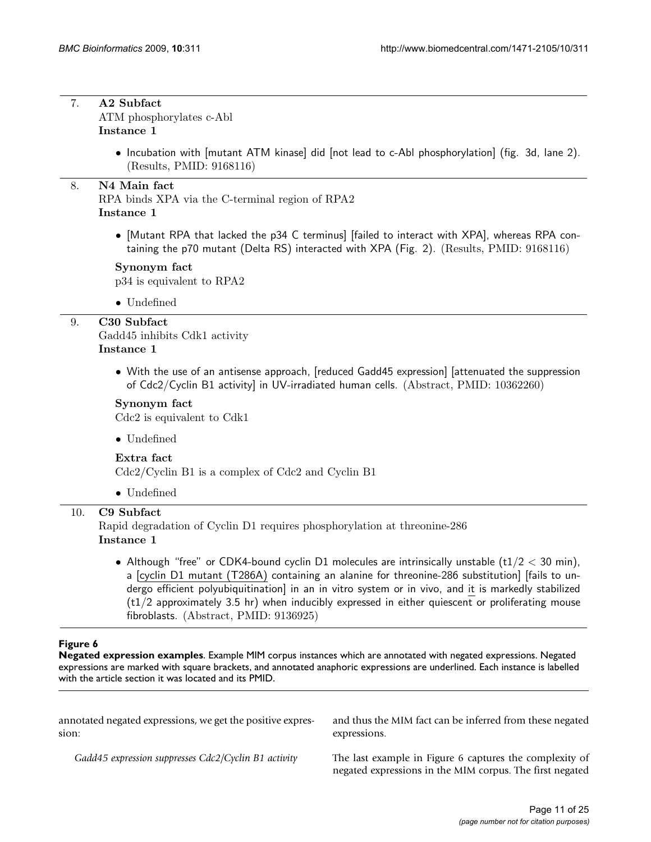# 7. **A2 Subfact** ATM phosphorylates c-Abl **Instance 1**

• Incubation with [mutant ATM kinase] did [not lead to c-Abl phosphorylation] (fig. 3d, lane 2). (Results, PMID: 9168116)

# 8. **N4 Main fact**

RPA binds XPA via the C-terminal region of RPA2 **Instance 1**

• [Mutant RPA that lacked the p34 C terminus] [failed to interact with XPA], whereas RPA containing the p70 mutant (Delta RS) interacted with XPA (Fig. 2). (Results, PMID: 9168116)

# **Synonym fact**

p34 is equivalent to RPA2

• Undefined

# 9. **C30 Subfact**

Gadd45 inhibits Cdk1 activity **Instance 1**

> • With the use of an antisense approach, [reduced Gadd45 expression] [attenuated the suppression of Cdc2/Cyclin B1 activity] in UV-irradiated human cells. (Abstract, PMID: 10362260)

# **Synonym fact**

Cdc2 is equivalent to Cdk1

• Undefined

# **Extra fact**

Cdc2/Cyclin B1 is a complex of Cdc2 and Cyclin B1

• Undefined

# 10. **C9 Subfact**

Rapid degradation of Cyclin D1 requires phosphorylation at threonine-286 **Instance 1**

• Although "free" or CDK4-bound cyclin D1 molecules are intrinsically unstable  $(t1/2 < 30 \text{ min})$ , a [cyclin D1 mutant (T286A) containing an alanine for threonine-286 substitution] [fails to undergo efficient polyubiquitination] in an in vitro system or in vivo, and it is markedly stabilized (t1/2 approximately 3.5 hr) when inducibly expressed in either quiescent or proliferating mouse fibroblasts. (Abstract, PMID: 9136925)

#### **Figure 6**

**Negated expression examples**. Example MIM corpus instances which are annotated with negated expressions. Negated expressions are marked with square brackets, and annotated anaphoric expressions are underlined. Each instance is labelled with the article section it was located and its PMID.

annotated negated expressions, we get the positive expression: *Gadd45 expression suppresses Cdc2/Cyclin B1 activity* and thus the MIM fact can be inferred from these negated expressions. The last example in Figure 6 captures the complexity of negated expressions in the MIM corpus. The first negated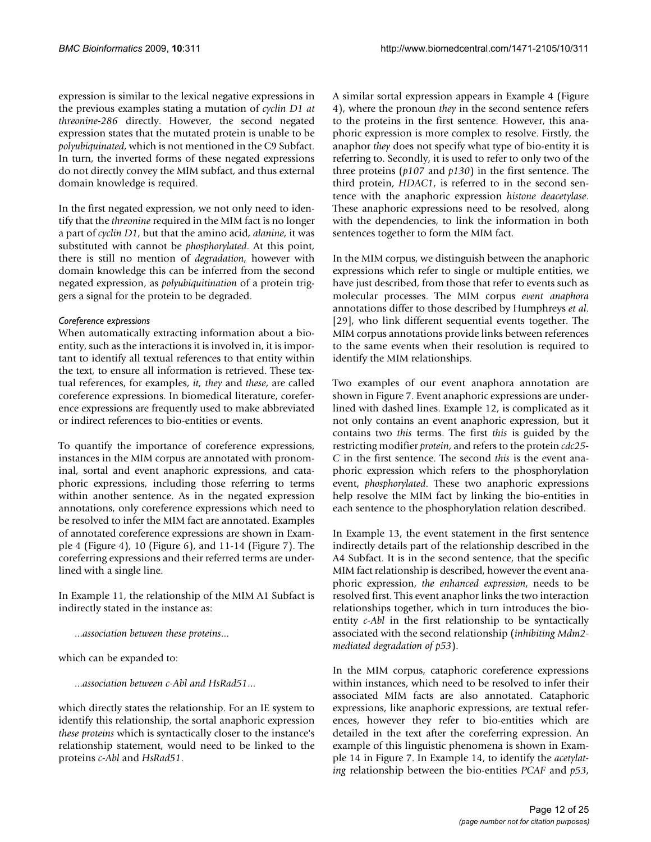expression is similar to the lexical negative expressions in the previous examples stating a mutation of *cyclin D1 at threonine-286* directly. However, the second negated expression states that the mutated protein is unable to be *polyubiquinated*, which is not mentioned in the C9 Subfact. In turn, the inverted forms of these negated expressions do not directly convey the MIM subfact, and thus external domain knowledge is required.

In the first negated expression, we not only need to identify that the *threonine* required in the MIM fact is no longer a part of *cyclin D1*, but that the amino acid, *alanine*, it was substituted with cannot be *phosphorylated*. At this point, there is still no mention of *degradation*, however with domain knowledge this can be inferred from the second negated expression, as *polyubiquitination* of a protein triggers a signal for the protein to be degraded.

# *Coreference expressions*

When automatically extracting information about a bioentity, such as the interactions it is involved in, it is important to identify all textual references to that entity within the text, to ensure all information is retrieved. These textual references, for examples, *it, they* and *these*, are called coreference expressions. In biomedical literature, coreference expressions are frequently used to make abbreviated or indirect references to bio-entities or events.

To quantify the importance of coreference expressions, instances in the MIM corpus are annotated with pronominal, sortal and event anaphoric expressions, and cataphoric expressions, including those referring to terms within another sentence. As in the negated expression annotations, only coreference expressions which need to be resolved to infer the MIM fact are annotated. Examples of annotated coreference expressions are shown in Example 4 (Figure 4), 10 (Figure 6), and 11-14 (Figure 7). The coreferring expressions and their referred terms are underlined with a single line.

In Example 11, the relationship of the MIM A1 Subfact is indirectly stated in the instance as:

...*association between these proteins*...

which can be expanded to:

...*association between c-Abl and HsRad51*...

which directly states the relationship. For an IE system to identify this relationship, the sortal anaphoric expression *these proteins* which is syntactically closer to the instance's relationship statement, would need to be linked to the proteins *c-Abl* and *HsRad51*.

A similar sortal expression appears in Example 4 (Figure 4), where the pronoun *they* in the second sentence refers to the proteins in the first sentence. However, this anaphoric expression is more complex to resolve. Firstly, the anaphor *they* does not specify what type of bio-entity it is referring to. Secondly, it is used to refer to only two of the three proteins (*p107* and *p130*) in the first sentence. The third protein, *HDAC1*, is referred to in the second sentence with the anaphoric expression *histone deacetylase*. These anaphoric expressions need to be resolved, along with the dependencies, to link the information in both sentences together to form the MIM fact.

In the MIM corpus, we distinguish between the anaphoric expressions which refer to single or multiple entities, we have just described, from those that refer to events such as molecular processes. The MIM corpus *event anaphora* annotations differ to those described by Humphreys *et al*. [29], who link different sequential events together. The MIM corpus annotations provide links between references to the same events when their resolution is required to identify the MIM relationships.

Two examples of our event anaphora annotation are shown in Figure 7. Event anaphoric expressions are underlined with dashed lines. Example 12, is complicated as it not only contains an event anaphoric expression, but it contains two *this* terms. The first *this* is guided by the restricting modifier *protein*, and refers to the protein *cdc25- C* in the first sentence. The second *this* is the event anaphoric expression which refers to the phosphorylation event, *phosphorylated*. These two anaphoric expressions help resolve the MIM fact by linking the bio-entities in each sentence to the phosphorylation relation described.

In Example 13, the event statement in the first sentence indirectly details part of the relationship described in the A4 Subfact. It is in the second sentence, that the specific MIM fact relationship is described, however the event anaphoric expression, *the enhanced expression*, needs to be resolved first. This event anaphor links the two interaction relationships together, which in turn introduces the bioentity *c-Abl* in the first relationship to be syntactically associated with the second relationship (*inhibiting Mdm2 mediated degradation of p53*).

In the MIM corpus, cataphoric coreference expressions within instances, which need to be resolved to infer their associated MIM facts are also annotated. Cataphoric expressions, like anaphoric expressions, are textual references, however they refer to bio-entities which are detailed in the text after the coreferring expression. An example of this linguistic phenomena is shown in Example 14 in Figure 7. In Example 14, to identify the *acetylating* relationship between the bio-entities *PCAF* and *p53*,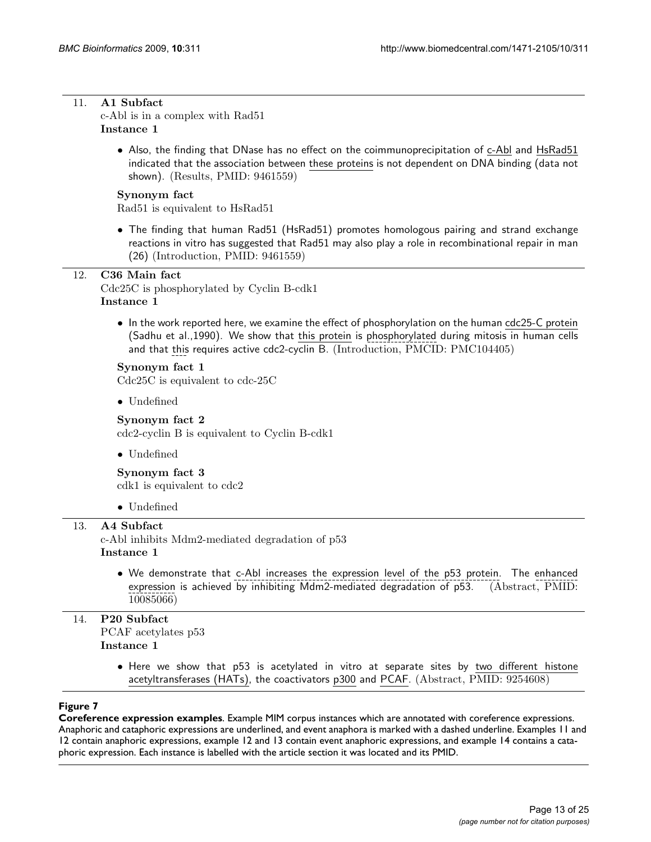# 11. **A1 Subfact**

c-Abl is in a complex with Rad51 **Instance 1**

• Also, the finding that DNase has no effect on the coimmunoprecipitation of c-Abl and HsRad51 indicated that the association between these proteins is not dependent on DNA binding (data not shown). (Results, PMID: 9461559)

# **Synonym fact**

Rad51 is equivalent to HsRad51

• The finding that human Rad51 (HsRad51) promotes homologous pairing and strand exchange reactions in vitro has suggested that Rad51 may also play a role in recombinational repair in man (26) (Introduction, PMID: 9461559)

# 12. **C36 Main fact**

Cdc25C is phosphorylated by Cyclin B-cdk1 **Instance 1**

• In the work reported here, we examine the effect of phosphorylation on the human cdc25-C protein (Sadhu et al.,1990). We show that this protein is phosphorylated during mitosis in human cells and that this requires active cdc2-cyclin B. (Introduction, PMCID: PMC104405)

**Synonym fact 1** Cdc25C is equivalent to cdc-25C

• Undefined

**Synonym fact 2** cdc2-cyclin B is equivalent to Cyclin B-cdk1

• Undefined

**Synonym fact 3** cdk1 is equivalent to cdc2

• Undefined

# 13. **A4 Subfact**

c-Abl inhibits Mdm2-mediated degradation of p53 **Instance 1**

• We demonstrate that c-Abl increases the expression level of the p53 protein. The enhanced expression is achieved by inhibiting Mdm2-mediated degradation of p53. (Abstract, PMID: 10085066)

# 14. **P20 Subfact** PCAF acetylates p53

**Instance 1**

• Here we show that p53 is acetylated in vitro at separate sites by two different histone acetyltransferases (HATs), the coactivators p300 and PCAF. (Abstract, PMID: 9254608)

# **Figure 7**

**Coreference expression examples**. Example MIM corpus instances which are annotated with coreference expressions. Anaphoric and cataphoric expressions are underlined, and event anaphora is marked with a dashed underline. Examples 11 and 12 contain anaphoric expressions, example 12 and 13 contain event anaphoric expressions, and example 14 contains a cataphoric expression. Each instance is labelled with the article section it was located and its PMID.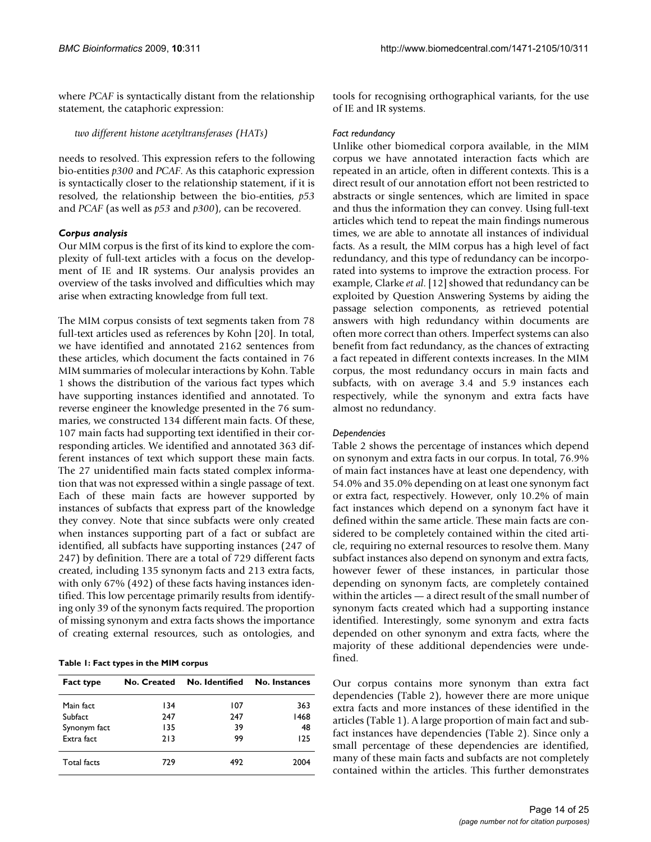where *PCAF* is syntactically distant from the relationship statement, the cataphoric expression:

# *two different histone acetyltransferases (HATs)*

needs to resolved. This expression refers to the following bio-entities *p300* and *PCAF*. As this cataphoric expression is syntactically closer to the relationship statement, if it is resolved, the relationship between the bio-entities, *p53* and *PCAF* (as well as *p53* and *p300*), can be recovered.

# *Corpus analysis*

Our MIM corpus is the first of its kind to explore the complexity of full-text articles with a focus on the development of IE and IR systems. Our analysis provides an overview of the tasks involved and difficulties which may arise when extracting knowledge from full text.

The MIM corpus consists of text segments taken from 78 full-text articles used as references by Kohn [20]. In total, we have identified and annotated 2162 sentences from these articles, which document the facts contained in 76 MIM summaries of molecular interactions by Kohn. Table 1 shows the distribution of the various fact types which have supporting instances identified and annotated. To reverse engineer the knowledge presented in the 76 summaries, we constructed 134 different main facts. Of these, 107 main facts had supporting text identified in their corresponding articles. We identified and annotated 363 different instances of text which support these main facts. The 27 unidentified main facts stated complex information that was not expressed within a single passage of text. Each of these main facts are however supported by instances of subfacts that express part of the knowledge they convey. Note that since subfacts were only created when instances supporting part of a fact or subfact are identified, all subfacts have supporting instances (247 of 247) by definition. There are a total of 729 different facts created, including 135 synonym facts and 213 extra facts, with only 67% (492) of these facts having instances identified. This low percentage primarily results from identifying only 39 of the synonym facts required. The proportion of missing synonym and extra facts shows the importance of creating external resources, such as ontologies, and

#### **Table 1: Fact types in the MIM corpus**

| <b>Fact type</b> | No. Created | No. Identified | No. Instances |
|------------------|-------------|----------------|---------------|
| Main fact        | 134         | 107            | 363           |
| Subfact          | 247         | 247            | 1468          |
| Synonym fact     | 135         | 39             | 48            |
| Extra fact       | 213         | 99             | 125           |
| Total facts      | 729         | 492            | 2004          |

tools for recognising orthographical variants, for the use of IE and IR systems.

## *Fact redundancy*

Unlike other biomedical corpora available, in the MIM corpus we have annotated interaction facts which are repeated in an article, often in different contexts. This is a direct result of our annotation effort not been restricted to abstracts or single sentences, which are limited in space and thus the information they can convey. Using full-text articles which tend to repeat the main findings numerous times, we are able to annotate all instances of individual facts. As a result, the MIM corpus has a high level of fact redundancy, and this type of redundancy can be incorporated into systems to improve the extraction process. For example, Clarke *et al*. [12] showed that redundancy can be exploited by Question Answering Systems by aiding the passage selection components, as retrieved potential answers with high redundancy within documents are often more correct than others. Imperfect systems can also benefit from fact redundancy, as the chances of extracting a fact repeated in different contexts increases. In the MIM corpus, the most redundancy occurs in main facts and subfacts, with on average 3.4 and 5.9 instances each respectively, while the synonym and extra facts have almost no redundancy.

#### *Dependencies*

Table 2 shows the percentage of instances which depend on synonym and extra facts in our corpus. In total, 76.9% of main fact instances have at least one dependency, with 54.0% and 35.0% depending on at least one synonym fact or extra fact, respectively. However, only 10.2% of main fact instances which depend on a synonym fact have it defined within the same article. These main facts are considered to be completely contained within the cited article, requiring no external resources to resolve them. Many subfact instances also depend on synonym and extra facts, however fewer of these instances, in particular those depending on synonym facts, are completely contained within the articles — a direct result of the small number of synonym facts created which had a supporting instance identified. Interestingly, some synonym and extra facts depended on other synonym and extra facts, where the majority of these additional dependencies were undefined.

Our corpus contains more synonym than extra fact dependencies (Table 2), however there are more unique extra facts and more instances of these identified in the articles (Table 1). A large proportion of main fact and subfact instances have dependencies (Table 2). Since only a small percentage of these dependencies are identified, many of these main facts and subfacts are not completely contained within the articles. This further demonstrates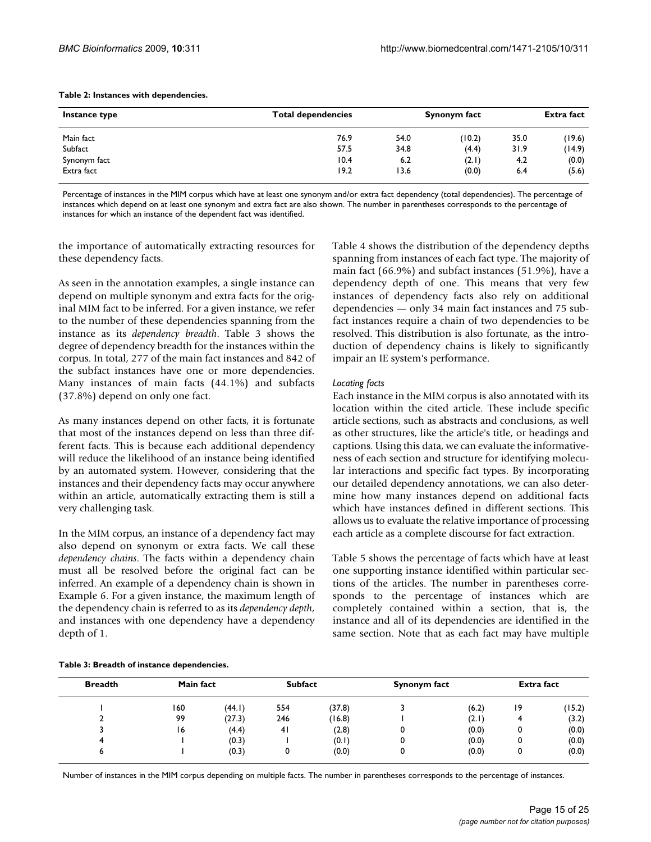| Table 2: Instances with dependencies. |  |  |  |
|---------------------------------------|--|--|--|
|---------------------------------------|--|--|--|

| Instance type | <b>Total dependencies</b> |      | Synonym fact |      |        |
|---------------|---------------------------|------|--------------|------|--------|
| Main fact     | 76.9                      | 54.0 | (10.2)       | 35.0 | (19.6) |
| Subfact       | 57.5                      | 34.8 | (4.4)        | 31.9 | (14.9) |
| Synonym fact  | 10.4                      | 6.2  | (2.1)        | 4.2  | (0.0)  |
| Extra fact    | 19.2                      | 13.6 | (0.0)        | 6.4  | (5.6)  |

Percentage of instances in the MIM corpus which have at least one synonym and/or extra fact dependency (total dependencies). The percentage of instances which depend on at least one synonym and extra fact are also shown. The number in parentheses corresponds to the percentage of instances for which an instance of the dependent fact was identified.

the importance of automatically extracting resources for these dependency facts.

As seen in the annotation examples, a single instance can depend on multiple synonym and extra facts for the original MIM fact to be inferred. For a given instance, we refer to the number of these dependencies spanning from the instance as its *dependency breadth*. Table 3 shows the degree of dependency breadth for the instances within the corpus. In total, 277 of the main fact instances and 842 of the subfact instances have one or more dependencies. Many instances of main facts (44.1%) and subfacts (37.8%) depend on only one fact.

As many instances depend on other facts, it is fortunate that most of the instances depend on less than three different facts. This is because each additional dependency will reduce the likelihood of an instance being identified by an automated system. However, considering that the instances and their dependency facts may occur anywhere within an article, automatically extracting them is still a very challenging task.

In the MIM corpus, an instance of a dependency fact may also depend on synonym or extra facts. We call these *dependency chains*. The facts within a dependency chain must all be resolved before the original fact can be inferred. An example of a dependency chain is shown in Example 6. For a given instance, the maximum length of the dependency chain is referred to as its *dependency depth*, and instances with one dependency have a dependency depth of 1.

Table 4 shows the distribution of the dependency depths spanning from instances of each fact type. The majority of main fact (66.9%) and subfact instances (51.9%), have a dependency depth of one. This means that very few instances of dependency facts also rely on additional dependencies — only 34 main fact instances and 75 subfact instances require a chain of two dependencies to be resolved. This distribution is also fortunate, as the introduction of dependency chains is likely to significantly impair an IE system's performance.

#### *Locating facts*

Each instance in the MIM corpus is also annotated with its location within the cited article. These include specific article sections, such as abstracts and conclusions, as well as other structures, like the article's title, or headings and captions. Using this data, we can evaluate the informativeness of each section and structure for identifying molecular interactions and specific fact types. By incorporating our detailed dependency annotations, we can also determine how many instances depend on additional facts which have instances defined in different sections. This allows us to evaluate the relative importance of processing each article as a complete discourse for fact extraction.

Table 5 shows the percentage of facts which have at least one supporting instance identified within particular sections of the articles. The number in parentheses corresponds to the percentage of instances which are completely contained within a section, that is, the instance and all of its dependencies are identified in the same section. Note that as each fact may have multiple

|  |  |  | Table 3: Breadth of instance dependencies. |
|--|--|--|--------------------------------------------|
|--|--|--|--------------------------------------------|

| <b>Breadth</b> | Main fact |        | <b>Subfact</b> |        | Synonym fact |       | Extra fact |        |
|----------------|-----------|--------|----------------|--------|--------------|-------|------------|--------|
|                | 160       | (44.1) | 554            | (37.8) |              | (6.2) | 19         | (15.2) |
|                | 99        | (27.3) | 246            | (16.8) |              | (2.1) |            | (3.2)  |
|                | 16        | (4.4)  | 41             | (2.8)  | 0            | (0.0) | 0          | (0.0)  |
|                |           | (0.3)  |                | (0.1)  | u            | (0.0) |            | (0.0)  |
| 6              |           | (0.3)  | 0              | (0.0)  | 0            | (0.0) | 0          | (0.0)  |

Number of instances in the MIM corpus depending on multiple facts. The number in parentheses corresponds to the percentage of instances.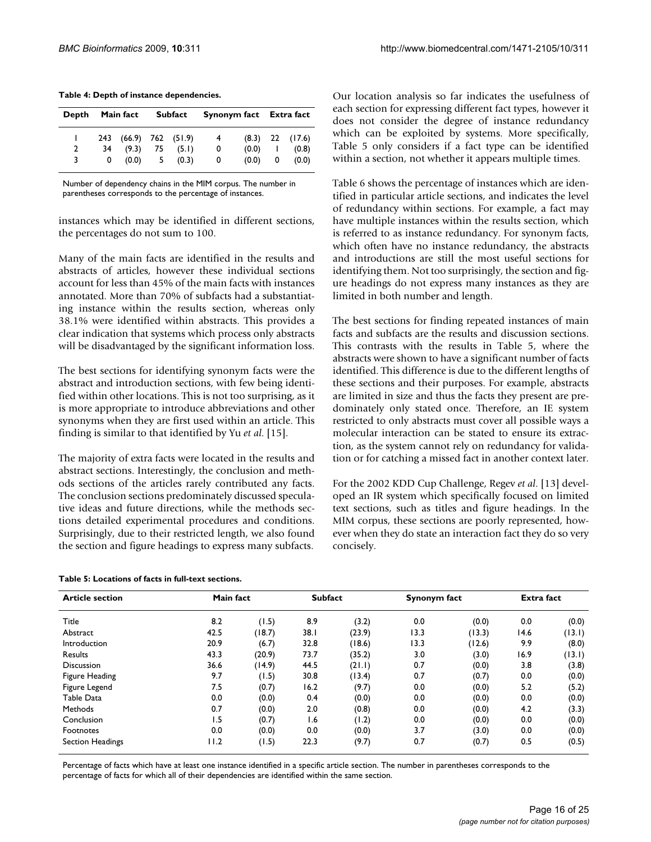| Table 4: Depth of instance dependencies. |  |  |
|------------------------------------------|--|--|
|------------------------------------------|--|--|

| Depth        |                       | Main fact Subfact |  | Synonym fact Extra fact |  |  |                     |  |
|--------------|-----------------------|-------------------|--|-------------------------|--|--|---------------------|--|
|              | 243 (66.9) 762 (51.9) |                   |  | $\overline{4}$          |  |  | $(8.3)$ 22 $(17.6)$ |  |
| $\mathbf{2}$ | $34$ (9.3) 75 (5.1)   |                   |  | 0                       |  |  | $(0.0)$ 1 $(0.8)$   |  |
| $3^{\circ}$  | $0$ (0.0) 5 (0.3)     |                   |  | $\mathbf 0$             |  |  | $(0.0)$ 0 $(0.0)$   |  |

Number of dependency chains in the MIM corpus. The number in parentheses corresponds to the percentage of instances.

instances which may be identified in different sections, the percentages do not sum to 100.

Many of the main facts are identified in the results and abstracts of articles, however these individual sections account for less than 45% of the main facts with instances annotated. More than 70% of subfacts had a substantiating instance within the results section, whereas only 38.1% were identified within abstracts. This provides a clear indication that systems which process only abstracts will be disadvantaged by the significant information loss.

The best sections for identifying synonym facts were the abstract and introduction sections, with few being identified within other locations. This is not too surprising, as it is more appropriate to introduce abbreviations and other synonyms when they are first used within an article. This finding is similar to that identified by Yu *et al*. [15].

The majority of extra facts were located in the results and abstract sections. Interestingly, the conclusion and methods sections of the articles rarely contributed any facts. The conclusion sections predominately discussed speculative ideas and future directions, while the methods sections detailed experimental procedures and conditions. Surprisingly, due to their restricted length, we also found the section and figure headings to express many subfacts.

**Table 5: Locations of facts in full-text sections.** 

Our location analysis so far indicates the usefulness of each section for expressing different fact types, however it does not consider the degree of instance redundancy which can be exploited by systems. More specifically, Table 5 only considers if a fact type can be identified within a section, not whether it appears multiple times.

Table 6 shows the percentage of instances which are identified in particular article sections, and indicates the level of redundancy within sections. For example, a fact may have multiple instances within the results section, which is referred to as instance redundancy. For synonym facts, which often have no instance redundancy, the abstracts and introductions are still the most useful sections for identifying them. Not too surprisingly, the section and figure headings do not express many instances as they are limited in both number and length.

The best sections for finding repeated instances of main facts and subfacts are the results and discussion sections. This contrasts with the results in Table 5, where the abstracts were shown to have a significant number of facts identified. This difference is due to the different lengths of these sections and their purposes. For example, abstracts are limited in size and thus the facts they present are predominately only stated once. Therefore, an IE system restricted to only abstracts must cover all possible ways a molecular interaction can be stated to ensure its extraction, as the system cannot rely on redundancy for validation or for catching a missed fact in another context later.

For the 2002 KDD Cup Challenge, Regev *et al*. [13] developed an IR system which specifically focused on limited text sections, such as titles and figure headings. In the MIM corpus, these sections are poorly represented, however when they do state an interaction fact they do so very concisely.

| <b>Article section</b><br>Title | Main fact |        | <b>Subfact</b> |        | Synonym fact |        | Extra fact |        |
|---------------------------------|-----------|--------|----------------|--------|--------------|--------|------------|--------|
|                                 | 8.2       | (1.5)  | 8.9            | (3.2)  | 0.0          | (0.0)  | 0.0        | (0.0)  |
| Abstract                        | 42.5      | (18.7) | 38.1           | (23.9) | 13.3         | (13.3) | 14.6       | (13.1) |
| Introduction                    | 20.9      | (6.7)  | 32.8           | (18.6) | 13.3         | (12.6) | 9.9        | (8.0)  |
| Results                         | 43.3      | (20.9) | 73.7           | (35.2) | 3.0          | (3.0)  | 16.9       | (13.1) |
| <b>Discussion</b>               | 36.6      | (14.9) | 44.5           | (21.1) | 0.7          | (0.0)  | 3.8        | (3.8)  |
| Figure Heading                  | 9.7       | (1.5)  | 30.8           | (13.4) | 0.7          | (0.7)  | 0.0        | (0.0)  |
| Figure Legend                   | 7.5       | (0.7)  | 16.2           | (9.7)  | 0.0          | (0.0)  | 5.2        | (5.2)  |
| Table Data                      | 0.0       | (0.0)  | 0.4            | (0.0)  | 0.0          | (0.0)  | 0.0        | (0.0)  |
| <b>Methods</b>                  | 0.7       | (0.0)  | 2.0            | (0.8)  | 0.0          | (0.0)  | 4.2        | (3.3)  |
| Conclusion                      | ۱.5       | (0.7)  | 1.6            | (1.2)  | 0.0          | (0.0)  | 0.0        | (0.0)  |
| Footnotes                       | 0.0       | (0.0)  | 0.0            | (0.0)  | 3.7          | (3.0)  | 0.0        | (0.0)  |
| Section Headings                | 11.2      | (1.5)  | 22.3           | (9.7)  | 0.7          | (0.7)  | 0.5        | (0.5)  |

Percentage of facts which have at least one instance identified in a specific article section. The number in parentheses corresponds to the percentage of facts for which all of their dependencies are identified within the same section.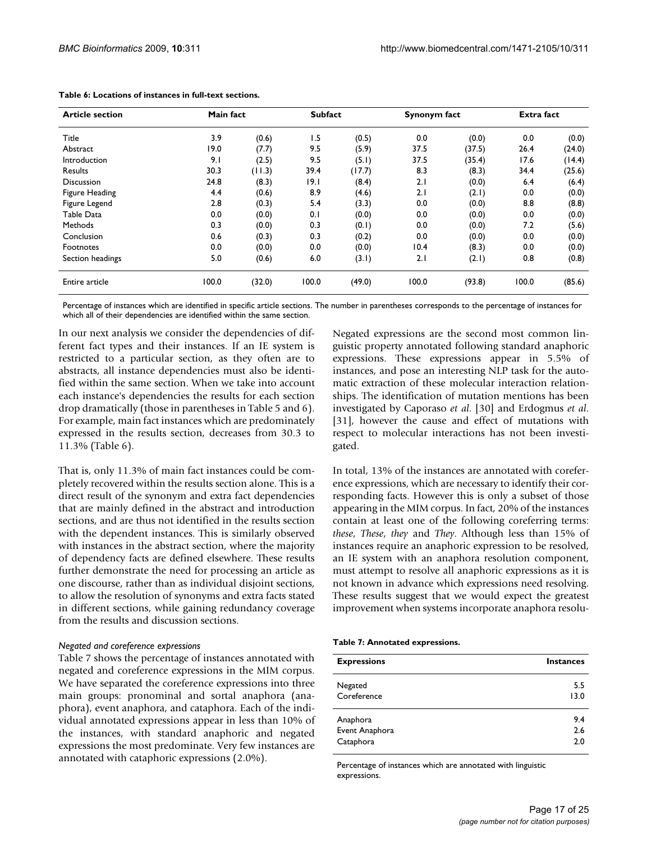| <b>Article section</b> | Main fact |        | <b>Subfact</b> |        | Synonym fact |        | Extra fact |        |
|------------------------|-----------|--------|----------------|--------|--------------|--------|------------|--------|
| Title                  | 3.9       | (0.6)  | 1.5            | (0.5)  | 0.0          | (0.0)  | 0.0        | (0.0)  |
| Abstract               | 19.0      | (7.7)  | 9.5            | (5.9)  | 37.5         | (37.5) | 26.4       | (24.0) |
| Introduction           | 9.1       | (2.5)  | 9.5            | (5.1)  | 37.5         | (35.4) | 17.6       | (14.4) |
| Results                | 30.3      | (11.3) | 39.4           | (17.7) | 8.3          | (8.3)  | 34.4       | (25.6) |
| <b>Discussion</b>      | 24.8      | (8.3)  | 19.1           | (8.4)  | 2.1          | (0.0)  | 6.4        | (6.4)  |
| Figure Heading         | 4.4       | (0.6)  | 8.9            | (4.6)  | 2.1          | (2.1)  | 0.0        | (0.0)  |
| Figure Legend          | 2.8       | (0.3)  | 5.4            | (3.3)  | 0.0          | (0.0)  | 8.8        | (8.8)  |
| Table Data             | 0.0       | (0.0)  | 0.1            | (0.0)  | 0.0          | (0.0)  | 0.0        | (0.0)  |
| <b>Methods</b>         | 0.3       | (0.0)  | 0.3            | (0.1)  | 0.0          | (0.0)  | 7.2        | (5.6)  |
| Conclusion             | 0.6       | (0.3)  | 0.3            | (0.2)  | 0.0          | (0.0)  | 0.0        | (0.0)  |
| Footnotes              | 0.0       | (0.0)  | 0.0            | (0.0)  | 10.4         | (8.3)  | 0.0        | (0.0)  |
| Section headings       | 5.0       | (0.6)  | 6.0            | (3.1)  | 2.1          | (2.1)  | 0.8        | (0.8)  |
| Entire article         | 100.0     | (32.0) | 100.0          | (49.0) | 100.0        | (93.8) | 100.0      | (85.6) |

**Table 6: Locations of instances in full-text sections.** 

Percentage of instances which are identified in specific article sections. The number in parentheses corresponds to the percentage of instances for which all of their dependencies are identified within the same section.

In our next analysis we consider the dependencies of different fact types and their instances. If an IE system is restricted to a particular section, as they often are to abstracts, all instance dependencies must also be identified within the same section. When we take into account each instance's dependencies the results for each section drop dramatically (those in parentheses in Table 5 and 6). For example, main fact instances which are predominately expressed in the results section, decreases from 30.3 to 11.3% (Table 6).

That is, only 11.3% of main fact instances could be completely recovered within the results section alone. This is a direct result of the synonym and extra fact dependencies that are mainly defined in the abstract and introduction sections, and are thus not identified in the results section with the dependent instances. This is similarly observed with instances in the abstract section, where the majority of dependency facts are defined elsewhere. These results further demonstrate the need for processing an article as one discourse, rather than as individual disjoint sections, to allow the resolution of synonyms and extra facts stated in different sections, while gaining redundancy coverage from the results and discussion sections.

#### *Negated and coreference expressions*

Table 7 shows the percentage of instances annotated with negated and coreference expressions in the MIM corpus. We have separated the coreference expressions into three main groups: pronominal and sortal anaphora (anaphora), event anaphora, and cataphora. Each of the individual annotated expressions appear in less than 10% of the instances, with standard anaphoric and negated expressions the most predominate. Very few instances are annotated with cataphoric expressions (2.0%).

Negated expressions are the second most common linguistic property annotated following standard anaphoric expressions. These expressions appear in 5.5% of instances, and pose an interesting NLP task for the automatic extraction of these molecular interaction relationships. The identification of mutation mentions has been investigated by Caporaso *et al*. [30] and Erdogmus *et al*. [31], however the cause and effect of mutations with respect to molecular interactions has not been investigated.

In total, 13% of the instances are annotated with coreference expressions, which are necessary to identify their corresponding facts. However this is only a subset of those appearing in the MIM corpus. In fact, 20% of the instances contain at least one of the following coreferring terms: *these*, *These*, *they* and *They*. Although less than 15% of instances require an anaphoric expression to be resolved, an IE system with an anaphora resolution component, must attempt to resolve all anaphoric expressions as it is not known in advance which expressions need resolving. These results suggest that we would expect the greatest improvement when systems incorporate anaphora resolu-

#### **Table 7: Annotated expressions.**

| <b>Expressions</b> | <b>Instances</b> |
|--------------------|------------------|
| Negated            | 5.5              |
| Coreference        | 13.0             |
| Anaphora           | 9.4              |
| Event Anaphora     | 2.6              |
| Cataphora          | 2.0              |

Percentage of instances which are annotated with linguistic expressions.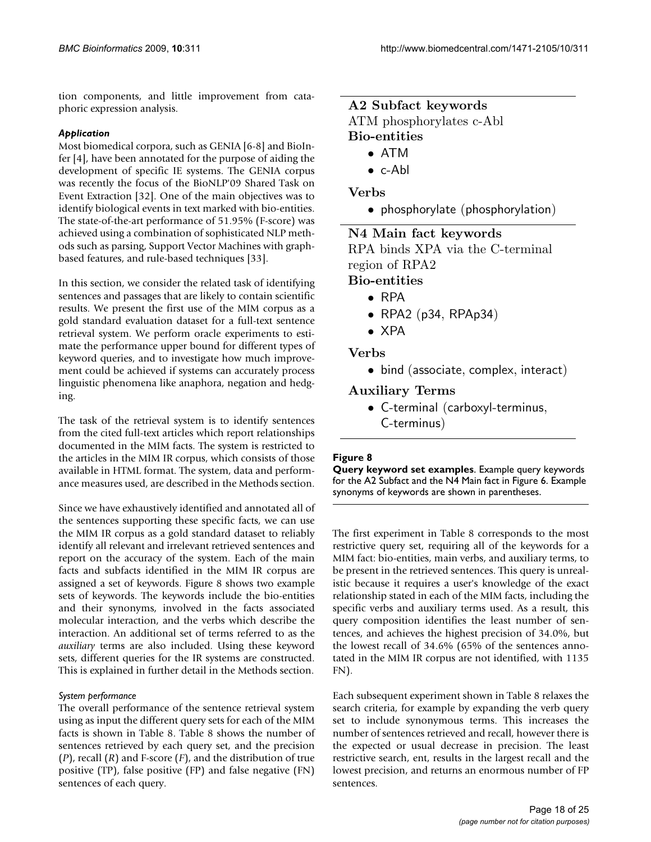tion components, and little improvement from cataphoric expression analysis.

# *Application*

Most biomedical corpora, such as GENIA [6-8] and BioInfer [4], have been annotated for the purpose of aiding the development of specific IE systems. The GENIA corpus was recently the focus of the BioNLP'09 Shared Task on Event Extraction [32]. One of the main objectives was to identify biological events in text marked with bio-entities. The state-of-the-art performance of 51.95% (F-score) was achieved using a combination of sophisticated NLP methods such as parsing, Support Vector Machines with graphbased features, and rule-based techniques [33].

In this section, we consider the related task of identifying sentences and passages that are likely to contain scientific results. We present the first use of the MIM corpus as a gold standard evaluation dataset for a full-text sentence retrieval system. We perform oracle experiments to estimate the performance upper bound for different types of keyword queries, and to investigate how much improvement could be achieved if systems can accurately process linguistic phenomena like anaphora, negation and hedging.

The task of the retrieval system is to identify sentences from the cited full-text articles which report relationships documented in the MIM facts. The system is restricted to the articles in the MIM IR corpus, which consists of those available in HTML format. The system, data and performance measures used, are described in the Methods section.

Since we have exhaustively identified and annotated all of the sentences supporting these specific facts, we can use the MIM IR corpus as a gold standard dataset to reliably identify all relevant and irrelevant retrieved sentences and report on the accuracy of the system. Each of the main facts and subfacts identified in the MIM IR corpus are assigned a set of keywords. Figure 8 shows two example sets of keywords. The keywords include the bio-entities and their synonyms, involved in the facts associated molecular interaction, and the verbs which describe the interaction. An additional set of terms referred to as the *auxiliary* terms are also included. Using these keyword sets, different queries for the IR systems are constructed. This is explained in further detail in the Methods section.

# *System performance*

The overall performance of the sentence retrieval system using as input the different query sets for each of the MIM facts is shown in Table 8. Table 8 shows the number of sentences retrieved by each query set, and the precision (*P*), recall (*R*) and F-score (*F*), and the distribution of true positive (TP), false positive (FP) and false negative (FN) sentences of each query.

# **A2 Subfact keywords** ATM phosphorylates c-Abl **Bio-entities**

- ATM
- $\bullet$  c-Abl

**Verbs**

• phosphorylate (phosphorylation)

**N4 Main fact keywords** RPA binds XPA via the C-terminal region of RPA2 **Bio-entities**

- RPA
- RPA2 (p34, RPAp34)
- XPA

**Verbs**

• bind (associate, complex, interact)

**Auxiliary Terms**

• C-terminal (carboxyl-terminus, C-terminus)

# **Figure 8**

**Query keyword set examples**. Example query keywords for the A2 Subfact and the N4 Main fact in Figure 6. Example synonyms of keywords are shown in parentheses.

The first experiment in Table 8 corresponds to the most restrictive query set, requiring all of the keywords for a MIM fact: bio-entities, main verbs, and auxiliary terms, to be present in the retrieved sentences. This query is unrealistic because it requires a user's knowledge of the exact relationship stated in each of the MIM facts, including the specific verbs and auxiliary terms used. As a result, this query composition identifies the least number of sentences, and achieves the highest precision of 34.0%, but the lowest recall of 34.6% (65% of the sentences annotated in the MIM IR corpus are not identified, with 1135 FN).

Each subsequent experiment shown in Table 8 relaxes the search criteria, for example by expanding the verb query set to include synonymous terms. This increases the number of sentences retrieved and recall, however there is the expected or usual decrease in precision. The least restrictive search, ent, results in the largest recall and the lowest precision, and returns an enormous number of FP sentences.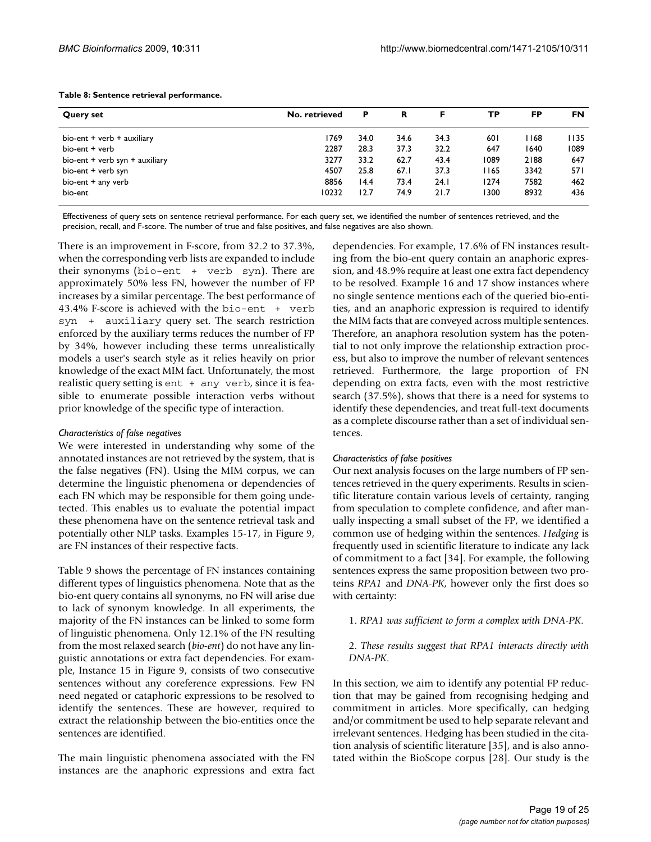| Table 8: Sentence retrieval performance. |  |  |
|------------------------------------------|--|--|
|------------------------------------------|--|--|

| Query set                      | No. retrieved | Р    | R    |      | ТP    | FP    | <b>FN</b> |
|--------------------------------|---------------|------|------|------|-------|-------|-----------|
| bio-ent + verb + auxiliary     | 1769          | 34.0 | 34.6 | 34.3 | 601   | I 168 | 1135      |
| bio-ent + verb                 | 2287          | 28.3 | 37.3 | 32.2 | 647   | 1640  | 1089      |
| bio-ent + verb syn + auxiliary | 3277          | 33.2 | 62.7 | 43.4 | 1089  | 2188  | 647       |
| bio-ent + verb syn             | 4507          | 25.8 | 67.1 | 37.3 | I 165 | 3342  | 571       |
| bio-ent + any verb             | 8856          | 14.4 | 73.4 | 24.1 | 1274  | 7582  | 462       |
| bio-ent                        | 10232         | 12.7 | 74.9 | 21.7 | 1300  | 8932  | 436       |

Effectiveness of query sets on sentence retrieval performance. For each query set, we identified the number of sentences retrieved, and the precision, recall, and F-score. The number of true and false positives, and false negatives are also shown.

There is an improvement in F-score, from 32.2 to 37.3%, when the corresponding verb lists are expanded to include their synonyms (bio-ent  $+$  verb syn). There are approximately 50% less FN, however the number of FP increases by a similar percentage. The best performance of 43.4% F-score is achieved with the bio-ent + verb syn + auxiliary query set. The search restriction enforced by the auxiliary terms reduces the number of FP by 34%, however including these terms unrealistically models a user's search style as it relies heavily on prior knowledge of the exact MIM fact. Unfortunately, the most realistic query setting is  $ent + any$  verb, since it is feasible to enumerate possible interaction verbs without prior knowledge of the specific type of interaction.

#### *Characteristics of false negatives*

We were interested in understanding why some of the annotated instances are not retrieved by the system, that is the false negatives (FN). Using the MIM corpus, we can determine the linguistic phenomena or dependencies of each FN which may be responsible for them going undetected. This enables us to evaluate the potential impact these phenomena have on the sentence retrieval task and potentially other NLP tasks. Examples 15-17, in Figure 9, are FN instances of their respective facts.

Table 9 shows the percentage of FN instances containing different types of linguistics phenomena. Note that as the bio-ent query contains all synonyms, no FN will arise due to lack of synonym knowledge. In all experiments, the majority of the FN instances can be linked to some form of linguistic phenomena. Only 12.1% of the FN resulting from the most relaxed search (*bio-ent*) do not have any linguistic annotations or extra fact dependencies. For example, Instance 15 in Figure 9, consists of two consecutive sentences without any coreference expressions. Few FN need negated or cataphoric expressions to be resolved to identify the sentences. These are however, required to extract the relationship between the bio-entities once the sentences are identified.

The main linguistic phenomena associated with the FN instances are the anaphoric expressions and extra fact dependencies. For example, 17.6% of FN instances resulting from the bio-ent query contain an anaphoric expression, and 48.9% require at least one extra fact dependency to be resolved. Example 16 and 17 show instances where no single sentence mentions each of the queried bio-entities, and an anaphoric expression is required to identify the MIM facts that are conveyed across multiple sentences. Therefore, an anaphora resolution system has the potential to not only improve the relationship extraction process, but also to improve the number of relevant sentences retrieved. Furthermore, the large proportion of FN depending on extra facts, even with the most restrictive search (37.5%), shows that there is a need for systems to identify these dependencies, and treat full-text documents as a complete discourse rather than a set of individual sentences.

#### *Characteristics of false positives*

Our next analysis focuses on the large numbers of FP sentences retrieved in the query experiments. Results in scientific literature contain various levels of certainty, ranging from speculation to complete confidence, and after manually inspecting a small subset of the FP, we identified a common use of hedging within the sentences. *Hedging* is frequently used in scientific literature to indicate any lack of commitment to a fact [34]. For example, the following sentences express the same proposition between two proteins *RPA1* and *DNA-PK*, however only the first does so with certainty:

#### 1. *RPA1 was sufficient to form a complex with DNA-PK*.

# 2. *These results suggest that RPA1 interacts directly with DNA-PK*.

In this section, we aim to identify any potential FP reduction that may be gained from recognising hedging and commitment in articles. More specifically, can hedging and/or commitment be used to help separate relevant and irrelevant sentences. Hedging has been studied in the citation analysis of scientific literature [35], and is also annotated within the BioScope corpus [28]. Our study is the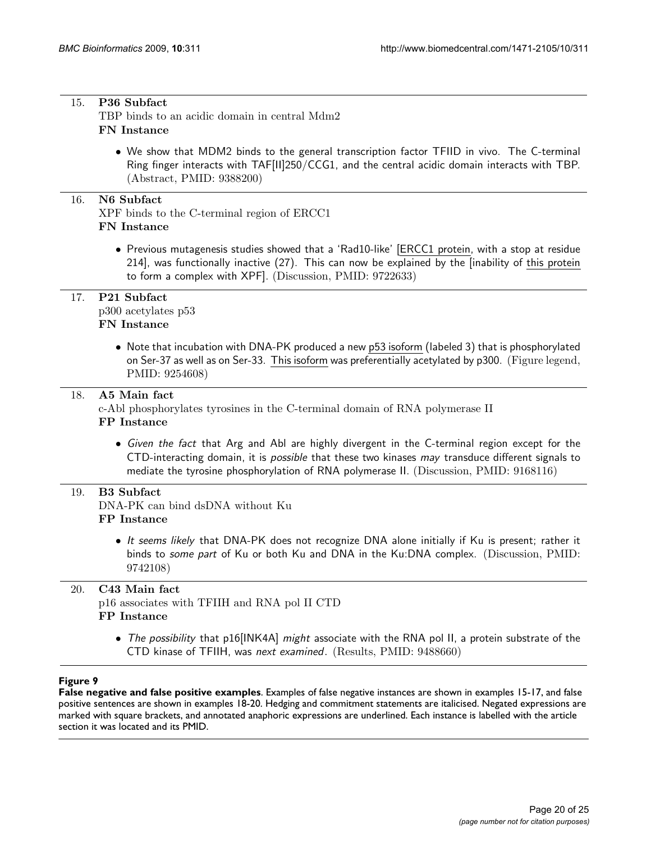# 15. **P36 Subfact**

TBP binds to an acidic domain in central Mdm2 **FN Instance**

• We show that MDM2 binds to the general transcription factor TFIID in vivo. The C-terminal Ring finger interacts with TAF[II]250/CCG1, and the central acidic domain interacts with TBP. (Abstract, PMID: 9388200)

# 16. **N6 Subfact**

XPF binds to the C-terminal region of ERCC1 **FN Instance**

• Previous mutagenesis studies showed that a 'Rad10-like' [ERCC1 protein, with a stop at residue 214], was functionally inactive (27). This can now be explained by the [inability of this protein to form a complex with XPF]. (Discussion, PMID: 9722633)

# 17. **P21 Subfact**

p300 acetylates p53 **FN Instance**

> • Note that incubation with DNA-PK produced a new p53 isoform (labeled 3) that is phosphorylated on Ser-37 as well as on Ser-33. This isoform was preferentially acetylated by p300. (Figure legend, PMID: 9254608)

# 18. **A5 Main fact**

c-Abl phosphorylates tyrosines in the C-terminal domain of RNA polymerase II **FP Instance**

• Given the fact that Arg and Abl are highly divergent in the C-terminal region except for the CTD-interacting domain, it is *possible* that these two kinases *may* transduce different signals to mediate the tyrosine phosphorylation of RNA polymerase II. (Discussion, PMID: 9168116)

# 19. **B3 Subfact**

DNA-PK can bind dsDNA without Ku **FP Instance**

• It seems likely that DNA-PK does not recognize DNA alone initially if Ku is present; rather it binds to some part of Ku or both Ku and DNA in the Ku:DNA complex. (Discussion, PMID: 9742108)

20. **C43 Main fact** p16 associates with TFIIH and RNA pol II CTD **FP Instance**

> • The possibility that p16[INK4A] might associate with the RNA pol II, a protein substrate of the CTD kinase of TFIIH, was next examined. (Results, PMID: 9488660)

# Figure 9

**False negative and false positive examples**. Examples of false negative instances are shown in examples 15-17, and false positive sentences are shown in examples 18-20. Hedging and commitment statements are italicised. Negated expressions are marked with square brackets, and annotated anaphoric expressions are underlined. Each instance is labelled with the article section it was located and its PMID.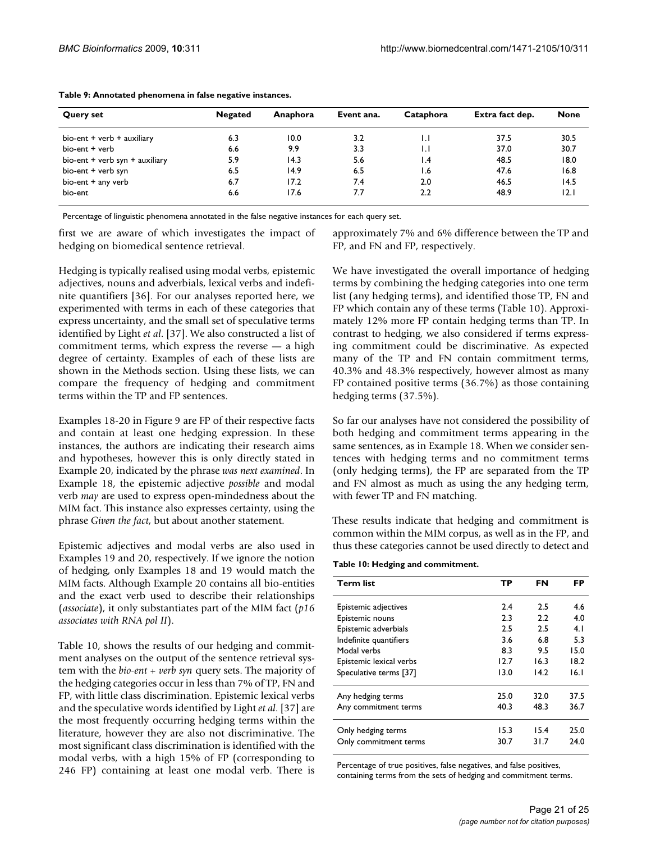| Query set                      | <b>Negated</b> | Anaphora | Event ana. | Cataphora       | Extra fact dep. | <b>None</b> |
|--------------------------------|----------------|----------|------------|-----------------|-----------------|-------------|
| bio-ent + verb + auxiliary     | 6.3            | 10.0     | 3.2        | IJ              | 37.5            | 30.5        |
| bio-ent + verb                 | 6.6            | 9.9      | 3.3        | $\mathsf{L}$    | 37.0            | 30.7        |
| bio-ent + verb syn + auxiliary | 5.9            | 14.3     | 5.6        | $\mathsf{I}$ .4 | 48.5            | 18.0        |
| bio-ent + verb syn             | 6.5            | 14.9     | 6.5        | 1.6             | 47.6            | 16.8        |
| bio-ent + any verb             | 6.7            | 17.2     | 7.4        | 2.0             | 46.5            | 14.5        |
| bio-ent                        | 6.6            | 17.6     | 7.7        | 2.2             | 48.9            | 12.1        |

#### **Table 9: Annotated phenomena in false negative instances.**

Percentage of linguistic phenomena annotated in the false negative instances for each query set.

first we are aware of which investigates the impact of hedging on biomedical sentence retrieval.

Hedging is typically realised using modal verbs, epistemic adjectives, nouns and adverbials, lexical verbs and indefinite quantifiers [36]. For our analyses reported here, we experimented with terms in each of these categories that express uncertainty, and the small set of speculative terms identified by Light *et al*. [37]. We also constructed a list of commitment terms, which express the reverse — a high degree of certainty. Examples of each of these lists are shown in the Methods section. Using these lists, we can compare the frequency of hedging and commitment terms within the TP and FP sentences.

Examples 18-20 in Figure 9 are FP of their respective facts and contain at least one hedging expression. In these instances, the authors are indicating their research aims and hypotheses, however this is only directly stated in Example 20, indicated by the phrase *was next examined*. In Example 18, the epistemic adjective *possible* and modal verb *may* are used to express open-mindedness about the MIM fact. This instance also expresses certainty, using the phrase *Given the fact*, but about another statement.

Epistemic adjectives and modal verbs are also used in Examples 19 and 20, respectively. If we ignore the notion of hedging, only Examples 18 and 19 would match the MIM facts. Although Example 20 contains all bio-entities and the exact verb used to describe their relationships (*associate*), it only substantiates part of the MIM fact (*p16 associates with RNA pol II*).

Table 10, shows the results of our hedging and commitment analyses on the output of the sentence retrieval system with the *bio-ent + verb syn* query sets. The majority of the hedging categories occur in less than 7% of TP, FN and FP, with little class discrimination. Epistemic lexical verbs and the speculative words identified by Light *et al*. [37] are the most frequently occurring hedging terms within the literature, however they are also not discriminative. The most significant class discrimination is identified with the modal verbs, with a high 15% of FP (corresponding to 246 FP) containing at least one modal verb. There is approximately 7% and 6% difference between the TP and FP, and FN and FP, respectively.

We have investigated the overall importance of hedging terms by combining the hedging categories into one term list (any hedging terms), and identified those TP, FN and FP which contain any of these terms (Table 10). Approximately 12% more FP contain hedging terms than TP. In contrast to hedging, we also considered if terms expressing commitment could be discriminative. As expected many of the TP and FN contain commitment terms, 40.3% and 48.3% respectively, however almost as many FP contained positive terms (36.7%) as those containing hedging terms (37.5%).

So far our analyses have not considered the possibility of both hedging and commitment terms appearing in the same sentences, as in Example 18. When we consider sentences with hedging terms and no commitment terms (only hedging terms), the FP are separated from the TP and FN almost as much as using the any hedging term, with fewer TP and FN matching.

These results indicate that hedging and commitment is common within the MIM corpus, as well as in the FP, and thus these categories cannot be used directly to detect and

#### **Table 10: Hedging and commitment.**

| <b>Term list</b>        | ΤР   | FN   | FP   |
|-------------------------|------|------|------|
| Epistemic adjectives    | 2.4  | 2.5  | 4.6  |
| Epistemic nouns         | 2.3  | 22   | 4.0  |
| Epistemic adverbials    | 2.5  | 2.5  | 4.1  |
| Indefinite quantifiers  | 3.6  | 6.8  | 5.3  |
| Modal verbs             | 8.3  | 9.5  | 15.0 |
| Epistemic lexical verbs | 12.7 | 16.3 | 18.2 |
| Speculative terms [37]  | 13.0 | 14.2 | 16.1 |
| Any hedging terms       | 25.0 | 32.0 | 37.5 |
| Any commitment terms    | 40.3 | 48.3 | 36.7 |
| Only hedging terms      | 15.3 | 15.4 | 25.0 |
| Only commitment terms   | 30.7 | 31.7 | 24.0 |

Percentage of true positives, false negatives, and false positives, containing terms from the sets of hedging and commitment terms.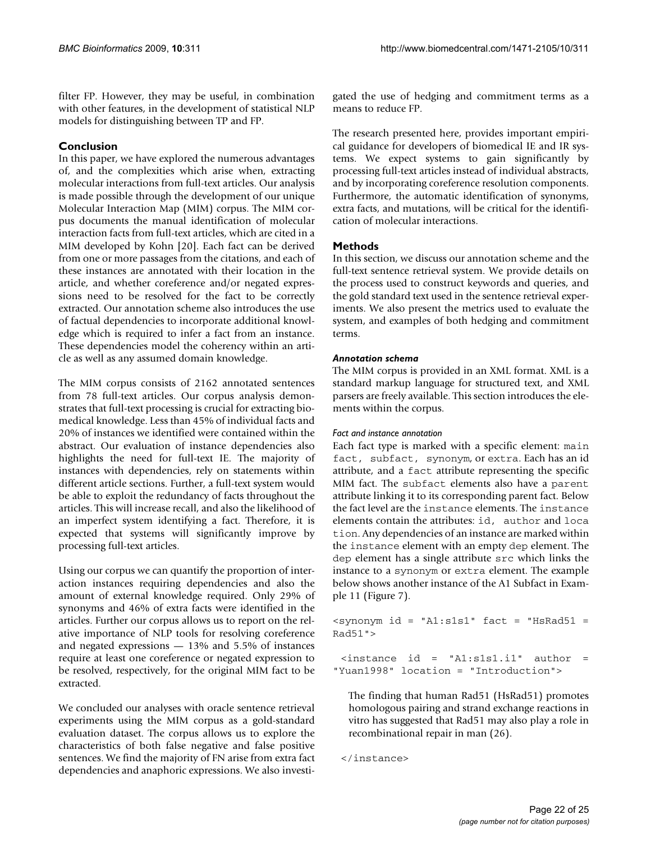filter FP. However, they may be useful, in combination with other features, in the development of statistical NLP models for distinguishing between TP and FP.

# **Conclusion**

In this paper, we have explored the numerous advantages of, and the complexities which arise when, extracting molecular interactions from full-text articles. Our analysis is made possible through the development of our unique Molecular Interaction Map (MIM) corpus. The MIM corpus documents the manual identification of molecular interaction facts from full-text articles, which are cited in a MIM developed by Kohn [20]. Each fact can be derived from one or more passages from the citations, and each of these instances are annotated with their location in the article, and whether coreference and/or negated expressions need to be resolved for the fact to be correctly extracted. Our annotation scheme also introduces the use of factual dependencies to incorporate additional knowledge which is required to infer a fact from an instance. These dependencies model the coherency within an article as well as any assumed domain knowledge.

The MIM corpus consists of 2162 annotated sentences from 78 full-text articles. Our corpus analysis demonstrates that full-text processing is crucial for extracting biomedical knowledge. Less than 45% of individual facts and 20% of instances we identified were contained within the abstract. Our evaluation of instance dependencies also highlights the need for full-text IE. The majority of instances with dependencies, rely on statements within different article sections. Further, a full-text system would be able to exploit the redundancy of facts throughout the articles. This will increase recall, and also the likelihood of an imperfect system identifying a fact. Therefore, it is expected that systems will significantly improve by processing full-text articles.

Using our corpus we can quantify the proportion of interaction instances requiring dependencies and also the amount of external knowledge required. Only 29% of synonyms and 46% of extra facts were identified in the articles. Further our corpus allows us to report on the relative importance of NLP tools for resolving coreference and negated expressions — 13% and 5.5% of instances require at least one coreference or negated expression to be resolved, respectively, for the original MIM fact to be extracted.

We concluded our analyses with oracle sentence retrieval experiments using the MIM corpus as a gold-standard evaluation dataset. The corpus allows us to explore the characteristics of both false negative and false positive sentences. We find the majority of FN arise from extra fact dependencies and anaphoric expressions. We also investigated the use of hedging and commitment terms as a means to reduce FP.

The research presented here, provides important empirical guidance for developers of biomedical IE and IR systems. We expect systems to gain significantly by processing full-text articles instead of individual abstracts, and by incorporating coreference resolution components. Furthermore, the automatic identification of synonyms, extra facts, and mutations, will be critical for the identification of molecular interactions.

# **Methods**

In this section, we discuss our annotation scheme and the full-text sentence retrieval system. We provide details on the process used to construct keywords and queries, and the gold standard text used in the sentence retrieval experiments. We also present the metrics used to evaluate the system, and examples of both hedging and commitment terms.

# *Annotation schema*

The MIM corpus is provided in an XML format. XML is a standard markup language for structured text, and XML parsers are freely available. This section introduces the elements within the corpus.

## *Fact and instance annotation*

Each fact type is marked with a specific element: main fact, subfact, synonym, or extra. Each has an id attribute, and a fact attribute representing the specific MIM fact. The subfact elements also have a parent attribute linking it to its corresponding parent fact. Below the fact level are the instance elements. The instance elements contain the attributes: id, author and loca tion. Any dependencies of an instance are marked within the instance element with an empty dep element. The dep element has a single attribute src which links the instance to a synonym or extra element. The example below shows another instance of the A1 Subfact in Example 11 (Figure 7).

```
<synonym id = "A1:s1s1" fact = "HsRad51 =
Rad51">
```

```
\epsiloninstance id = "A1:s1s1.i1" author
"Yuan1998" location = "Introduction">
```
The finding that human Rad51 (HsRad51) promotes homologous pairing and strand exchange reactions in vitro has suggested that Rad51 may also play a role in recombinational repair in man (26).

</instance>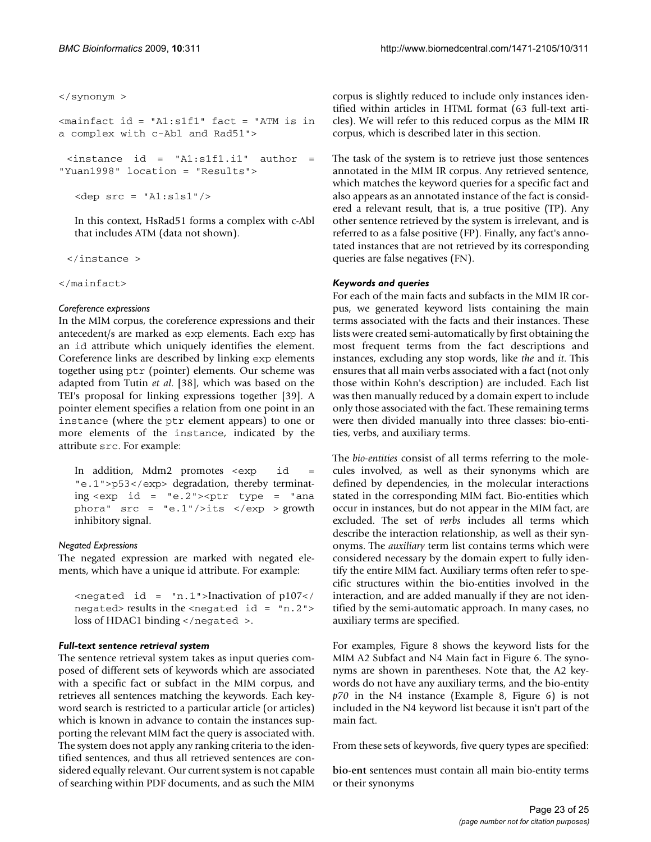</synonym >

<mainfact id = "A1:s1f1" fact = "ATM is in a complex with c-Abl and Rad51">

 $\epsilon$ instance id = "A1:s1f1.i1" author = "Yuan1998" location = "Results">

```
\text{<dep src} = "A1:s1s1*/\text{>}
```
In this context, HsRad51 forms a complex with c-Abl that includes ATM (data not shown).

</instance >

</mainfact>

# *Coreference expressions*

In the MIM corpus, the coreference expressions and their antecedent/s are marked as exp elements. Each exp has an id attribute which uniquely identifies the element. Coreference links are described by linking exp elements together using ptr (pointer) elements. Our scheme was adapted from Tutin *et al*. [38], which was based on the TEI's proposal for linking expressions together [39]. A pointer element specifies a relation from one point in an instance (where the ptr element appears) to one or more elements of the instance, indicated by the attribute src. For example:

In addition, Mdm2 promotes  $\langle exp \rangle$  id = "e.1">p53</exp> degradation, thereby terminating <exp id = "e.2"><ptr type = "ana phora" src = "e.1"/>its </exp > growth inhibitory signal.

# *Negated Expressions*

The negated expression are marked with negated elements, which have a unique id attribute. For example:

 $\epsilon$  />negated id = "n.1">Inactivation of p107</ negated> results in the <negated id = "n.2"> loss of HDAC1 binding </negated >.

#### *Full-text sentence retrieval system*

The sentence retrieval system takes as input queries composed of different sets of keywords which are associated with a specific fact or subfact in the MIM corpus, and retrieves all sentences matching the keywords. Each keyword search is restricted to a particular article (or articles) which is known in advance to contain the instances supporting the relevant MIM fact the query is associated with. The system does not apply any ranking criteria to the identified sentences, and thus all retrieved sentences are considered equally relevant. Our current system is not capable of searching within PDF documents, and as such the MIM corpus is slightly reduced to include only instances identified within articles in HTML format (63 full-text articles). We will refer to this reduced corpus as the MIM IR corpus, which is described later in this section.

The task of the system is to retrieve just those sentences annotated in the MIM IR corpus. Any retrieved sentence, which matches the keyword queries for a specific fact and also appears as an annotated instance of the fact is considered a relevant result, that is, a true positive (TP). Any other sentence retrieved by the system is irrelevant, and is referred to as a false positive (FP). Finally, any fact's annotated instances that are not retrieved by its corresponding queries are false negatives (FN).

# *Keywords and queries*

For each of the main facts and subfacts in the MIM IR corpus, we generated keyword lists containing the main terms associated with the facts and their instances. These lists were created semi-automatically by first obtaining the most frequent terms from the fact descriptions and instances, excluding any stop words, like *the* and *it*. This ensures that all main verbs associated with a fact (not only those within Kohn's description) are included. Each list was then manually reduced by a domain expert to include only those associated with the fact. These remaining terms were then divided manually into three classes: bio-entities, verbs, and auxiliary terms.

The *bio-entities* consist of all terms referring to the molecules involved, as well as their synonyms which are defined by dependencies, in the molecular interactions stated in the corresponding MIM fact. Bio-entities which occur in instances, but do not appear in the MIM fact, are excluded. The set of *verbs* includes all terms which describe the interaction relationship, as well as their synonyms. The *auxiliary* term list contains terms which were considered necessary by the domain expert to fully identify the entire MIM fact. Auxiliary terms often refer to specific structures within the bio-entities involved in the interaction, and are added manually if they are not identified by the semi-automatic approach. In many cases, no auxiliary terms are specified.

For examples, Figure 8 shows the keyword lists for the MIM A2 Subfact and N4 Main fact in Figure 6. The synonyms are shown in parentheses. Note that, the A2 keywords do not have any auxiliary terms, and the bio-entity *p70* in the N4 instance (Example 8, Figure 6) is not included in the N4 keyword list because it isn't part of the main fact.

From these sets of keywords, five query types are specified:

**bio-ent** sentences must contain all main bio-entity terms or their synonyms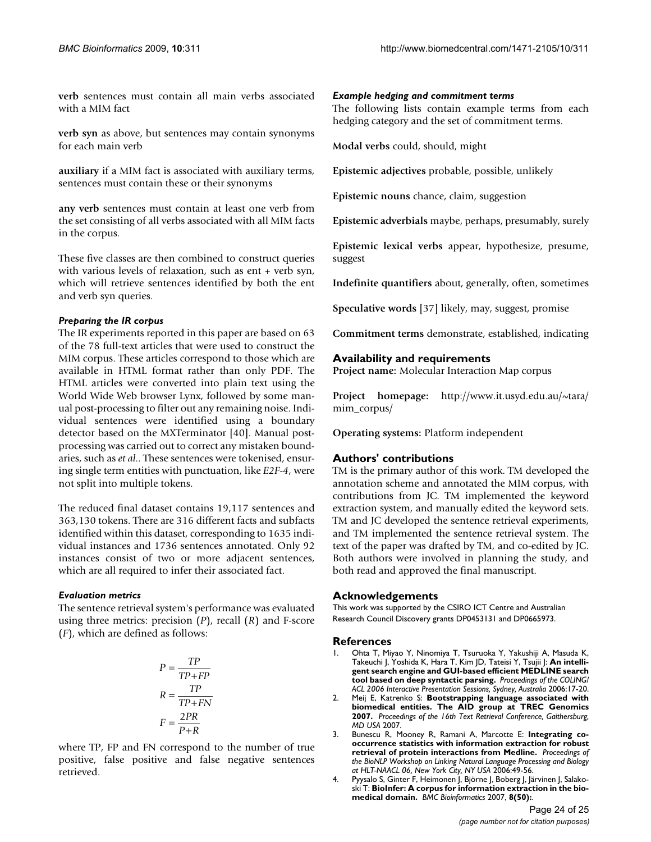**verb** sentences must contain all main verbs associated with a MIM fact

**verb syn** as above, but sentences may contain synonyms for each main verb

**auxiliary** if a MIM fact is associated with auxiliary terms, sentences must contain these or their synonyms

**any verb** sentences must contain at least one verb from the set consisting of all verbs associated with all MIM facts in the corpus.

These five classes are then combined to construct queries with various levels of relaxation, such as ent + verb syn, which will retrieve sentences identified by both the ent and verb syn queries.

#### *Preparing the IR corpus*

The IR experiments reported in this paper are based on 63 of the 78 full-text articles that were used to construct the MIM corpus. These articles correspond to those which are available in HTML format rather than only PDF. The HTML articles were converted into plain text using the World Wide Web browser Lynx, followed by some manual post-processing to filter out any remaining noise. Individual sentences were identified using a boundary detector based on the MXTerminator [40]. Manual postprocessing was carried out to correct any mistaken boundaries, such as *et al*.. These sentences were tokenised, ensuring single term entities with punctuation, like *E2F-4*, were not split into multiple tokens.

The reduced final dataset contains 19,117 sentences and 363,130 tokens. There are 316 different facts and subfacts identified within this dataset, corresponding to 1635 individual instances and 1736 sentences annotated. Only 92 instances consist of two or more adjacent sentences, which are all required to infer their associated fact.

#### *Evaluation metrics*

The sentence retrieval system's performance was evaluated using three metrics: precision (*P*), recall (*R*) and F-score (*F*), which are defined as follows:

$$
P = \frac{TP}{TP + FP}
$$

$$
R = \frac{TP}{TP + FN}
$$

$$
F = \frac{2PR}{P + R}
$$

where TP, FP and FN correspond to the number of true positive, false positive and false negative sentences retrieved.

## *Example hedging and commitment terms*

The following lists contain example terms from each hedging category and the set of commitment terms.

**Modal verbs** could, should, might

**Epistemic adjectives** probable, possible, unlikely

**Epistemic nouns** chance, claim, suggestion

**Epistemic adverbials** maybe, perhaps, presumably, surely

**Epistemic lexical verbs** appear, hypothesize, presume, suggest

**Indefinite quantifiers** about, generally, often, sometimes

**Speculative words** [37] likely, may, suggest, promise

**Commitment terms** demonstrate, established, indicating

# **Availability and requirements**

**Project name:** Molecular Interaction Map corpus

**Project homepage:** http://www.it.usyd.edu.au/~tara/ mim\_corpus/

**Operating systems:** Platform independent

# **Authors' contributions**

TM is the primary author of this work. TM developed the annotation scheme and annotated the MIM corpus, with contributions from JC. TM implemented the keyword extraction system, and manually edited the keyword sets. TM and JC developed the sentence retrieval experiments, and TM implemented the sentence retrieval system. The text of the paper was drafted by TM, and co-edited by JC. Both authors were involved in planning the study, and both read and approved the final manuscript.

#### **Acknowledgements**

This work was supported by the CSIRO ICT Centre and Australian Research Council Discovery grants DP0453131 and DP0665973.

#### **References**

- 1. Ohta T, Miyao Y, Ninomiya T, Tsuruoka Y, Yakushiji A, Masuda K, Takeuchi J, Yoshida K, Hara T, Kim JD, Tateisi Y, Tsujii J: **An intelligent search engine and GUI-based efficient MEDLINE search tool based on deep syntactic parsing.** *Proceedings of the COLING/ ACL 2006 Interactive Presentation Sessions, Sydney, Australia* 2006:17-20.
- 2. Meij E, Katrenko S: **Bootstrapping language associated with biomedical entities. The AID group at TREC Genomics 2007.** *Proceedings of the 16th Text Retrieval Conference, Gaithersburg, MD USA* 2007.
- 3. Bunescu R, Mooney R, Ramani A, Marcotte E: **Integrating cooccurrence statistics with information extraction for robust retrieval of protein interactions from Medline.** *Proceedings of the BioNLP Workshop on Linking Natural Language Processing and Biology at HLT-NAACL 06, New York City, NY USA* 2006:49-56.
- 4. Pyysalo S, Ginter F, Heimonen J, Björne J, Boberg J, Järvinen J, Salakoski T: **[BioInfer: A corpus for information extraction in the bio](http://www.ncbi.nlm.nih.gov/entrez/query.fcgi?cmd=Retrieve&db=PubMed&dopt=Abstract&list_uids=17291334)[medical domain.](http://www.ncbi.nlm.nih.gov/entrez/query.fcgi?cmd=Retrieve&db=PubMed&dopt=Abstract&list_uids=17291334)** *BMC Bioinformatics* 2007, **8(50):**.